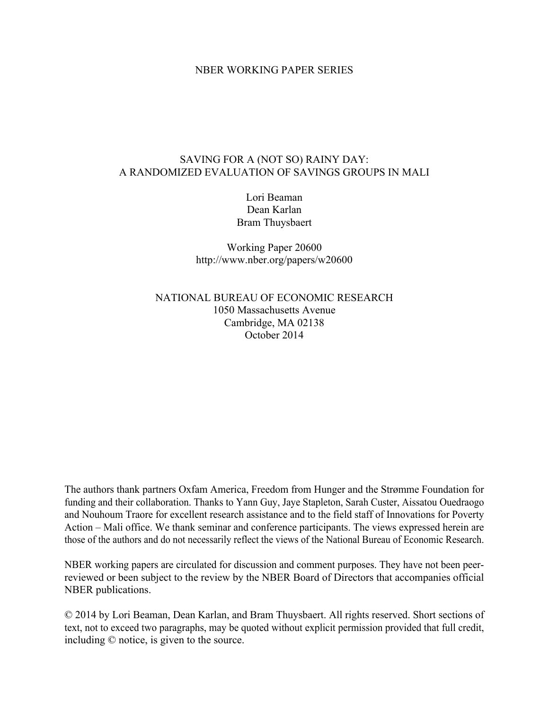# NBER WORKING PAPER SERIES

# SAVING FOR A (NOT SO) RAINY DAY: A RANDOMIZED EVALUATION OF SAVINGS GROUPS IN MALI

Lori Beaman Dean Karlan Bram Thuysbaert

Working Paper 20600 http://www.nber.org/papers/w20600

NATIONAL BUREAU OF ECONOMIC RESEARCH 1050 Massachusetts Avenue Cambridge, MA 02138 October 2014

The authors thank partners Oxfam America, Freedom from Hunger and the Strømme Foundation for funding and their collaboration. Thanks to Yann Guy, Jaye Stapleton, Sarah Custer, Aissatou Ouedraogo and Nouhoum Traore for excellent research assistance and to the field staff of Innovations for Poverty Action – Mali office. We thank seminar and conference participants. The views expressed herein are those of the authors and do not necessarily reflect the views of the National Bureau of Economic Research.

NBER working papers are circulated for discussion and comment purposes. They have not been peerreviewed or been subject to the review by the NBER Board of Directors that accompanies official NBER publications.

© 2014 by Lori Beaman, Dean Karlan, and Bram Thuysbaert. All rights reserved. Short sections of text, not to exceed two paragraphs, may be quoted without explicit permission provided that full credit, including © notice, is given to the source.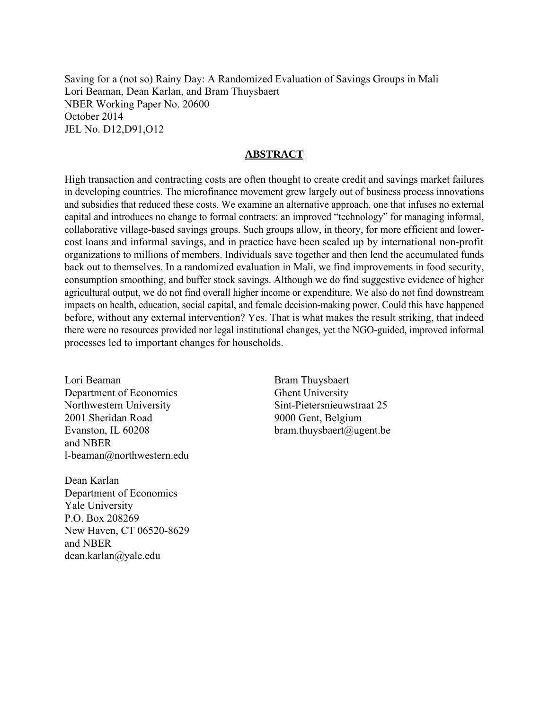Saving for a (not so) Rainy Day: A Randomized Evaluation of Savings Groups in Mali Lori Beaman, Dean Karlan, and Bram Thuysbaert NBER Working Paper No. 20600 October 2014 JEL No. D12,D91,O12

# **ABSTRACT**

High transaction and contracting costs are often thought to create credit and savings market failures in developing countries. The microfinance movement grew largely out of business process innovations and subsidies that reduced these costs. We examine an alternative approach, one that infuses no external capital and introduces no change to formal contracts: an improved "technology" for managing informal, collaborative village-based savings groups. Such groups allow, in theory, for more efficient and lowercost loans and informal savings, and in practice have been scaled up by international non-profit organizations to millions of members. Individuals save together and then lend the accumulated funds back out to themselves. In a randomized evaluation in Mali, we find improvements in food security, consumption smoothing, and buffer stock savings. Although we do find suggestive evidence of higher agricultural output, we do not find overall higher income or expenditure. We also do not find downstream impacts on health, education, social capital, and female decision-making power. Could this have happened before, without any external intervention? Yes. That is what makes the result striking, that indeed there were no resources provided nor legal institutional changes, yet the NGO-guided, improved informal processes led to important changes for households.

Lori Beaman Department of Economics Northwestern University 2001 Sheridan Road Evanston, IL 60208 and NBER l-beaman@northwestern.edu

Dean Karlan Department of Economics Yale University P.O. Box 208269 New Haven, CT 06520-8629 and NBER dean.karlan@yale.edu

Bram Thuysbaert Ghent University Sint-Pietersnieuwstraat 25 9000 Gent, Belgium bram.thuysbaert@ugent.be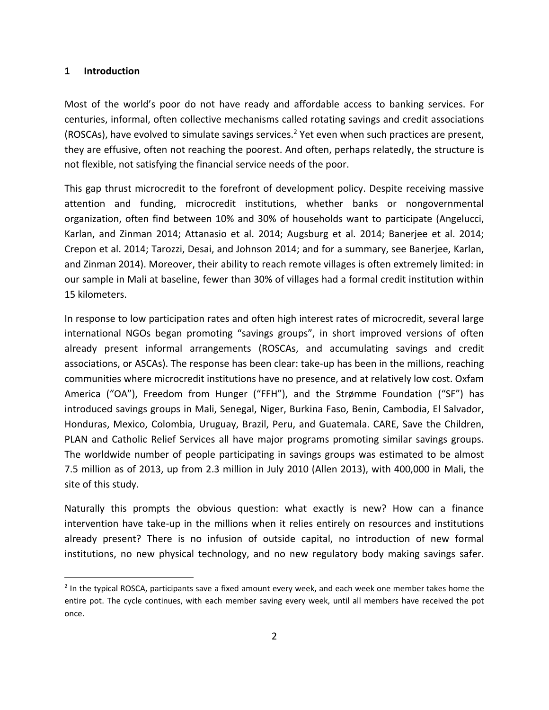### **1 Introduction**

Most of the world's poor do not have ready and affordable access to banking services. For centuries, informal, often collective mechanisms called rotating savings and credit associations (ROSCAs), have evolved to simulate savings services.<sup>2</sup> Yet even when such practices are present, they are effusive, often not reaching the poorest. And often, perhaps relatedly, the structure is not flexible, not satisfying the financial service needs of the poor.

This gap thrust microcredit to the forefront of development policy. Despite receiving massive attention and funding, microcredit institutions, whether banks or nongovernmental organization, often find between 10% and 30% of households want to participate (Angelucci, Karlan, and Zinman 2014; Attanasio et al. 2014; Augsburg et al. 2014; Banerjee et al. 2014; Crepon et al. 2014; Tarozzi, Desai, and Johnson 2014; and for a summary, see Banerjee, Karlan, and Zinman 2014). Moreover, their ability to reach remote villages is often extremely limited: in our sample in Mali at baseline, fewer than 30% of villages had a formal credit institution within 15 kilometers.

In response to low participation rates and often high interest rates of microcredit, several large international NGOs began promoting "savings groups", in short improved versions of often already present informal arrangements (ROSCAs, and accumulating savings and credit associations, or ASCAs). The response has been clear: take‐up has been in the millions, reaching communities where microcredit institutions have no presence, and at relatively low cost. Oxfam America ("OA"), Freedom from Hunger ("FFH"), and the Strømme Foundation ("SF") has introduced savings groups in Mali, Senegal, Niger, Burkina Faso, Benin, Cambodia, El Salvador, Honduras, Mexico, Colombia, Uruguay, Brazil, Peru, and Guatemala. CARE, Save the Children, PLAN and Catholic Relief Services all have major programs promoting similar savings groups. The worldwide number of people participating in savings groups was estimated to be almost 7.5 million as of 2013, up from 2.3 million in July 2010 (Allen 2013), with 400,000 in Mali, the site of this study.

Naturally this prompts the obvious question: what exactly is new? How can a finance intervention have take-up in the millions when it relies entirely on resources and institutions already present? There is no infusion of outside capital, no introduction of new formal institutions, no new physical technology, and no new regulatory body making savings safer.

<sup>&</sup>lt;sup>2</sup> In the typical ROSCA, participants save a fixed amount every week, and each week one member takes home the entire pot. The cycle continues, with each member saving every week, until all members have received the pot once.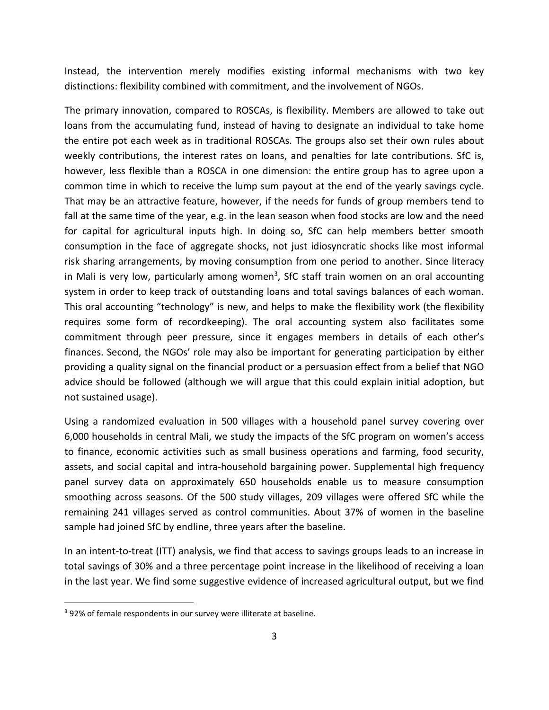Instead, the intervention merely modifies existing informal mechanisms with two key distinctions: flexibility combined with commitment, and the involvement of NGOs.

The primary innovation, compared to ROSCAs, is flexibility. Members are allowed to take out loans from the accumulating fund, instead of having to designate an individual to take home the entire pot each week as in traditional ROSCAs. The groups also set their own rules about weekly contributions, the interest rates on loans, and penalties for late contributions. SfC is, however, less flexible than a ROSCA in one dimension: the entire group has to agree upon a common time in which to receive the lump sum payout at the end of the yearly savings cycle. That may be an attractive feature, however, if the needs for funds of group members tend to fall at the same time of the year, e.g. in the lean season when food stocks are low and the need for capital for agricultural inputs high. In doing so, SfC can help members better smooth consumption in the face of aggregate shocks, not just idiosyncratic shocks like most informal risk sharing arrangements, by moving consumption from one period to another. Since literacy in Mali is very low, particularly among women<sup>3</sup>, SfC staff train women on an oral accounting system in order to keep track of outstanding loans and total savings balances of each woman. This oral accounting "technology" is new, and helps to make the flexibility work (the flexibility requires some form of recordkeeping). The oral accounting system also facilitates some commitment through peer pressure, since it engages members in details of each other's finances. Second, the NGOs' role may also be important for generating participation by either providing a quality signal on the financial product or a persuasion effect from a belief that NGO advice should be followed (although we will argue that this could explain initial adoption, but not sustained usage).

Using a randomized evaluation in 500 villages with a household panel survey covering over 6,000 households in central Mali, we study the impacts of the SfC program on women's access to finance, economic activities such as small business operations and farming, food security, assets, and social capital and intra‐household bargaining power. Supplemental high frequency panel survey data on approximately 650 households enable us to measure consumption smoothing across seasons. Of the 500 study villages, 209 villages were offered SfC while the remaining 241 villages served as control communities. About 37% of women in the baseline sample had joined SfC by endline, three years after the baseline.

In an intent-to-treat (ITT) analysis, we find that access to savings groups leads to an increase in total savings of 30% and a three percentage point increase in the likelihood of receiving a loan in the last year. We find some suggestive evidence of increased agricultural output, but we find

<sup>&</sup>lt;sup>3</sup> 92% of female respondents in our survey were illiterate at baseline.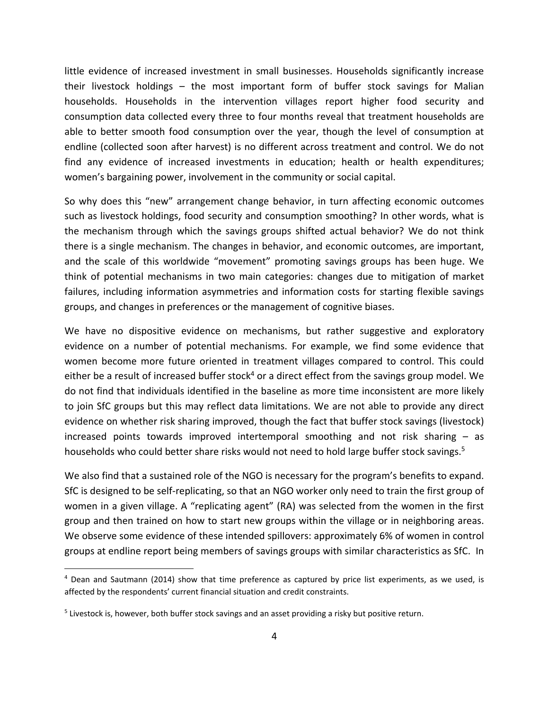little evidence of increased investment in small businesses. Households significantly increase their livestock holdings – the most important form of buffer stock savings for Malian households. Households in the intervention villages report higher food security and consumption data collected every three to four months reveal that treatment households are able to better smooth food consumption over the year, though the level of consumption at endline (collected soon after harvest) is no different across treatment and control. We do not find any evidence of increased investments in education; health or health expenditures; women's bargaining power, involvement in the community or social capital.

So why does this "new" arrangement change behavior, in turn affecting economic outcomes such as livestock holdings, food security and consumption smoothing? In other words, what is the mechanism through which the savings groups shifted actual behavior? We do not think there is a single mechanism. The changes in behavior, and economic outcomes, are important, and the scale of this worldwide "movement" promoting savings groups has been huge. We think of potential mechanisms in two main categories: changes due to mitigation of market failures, including information asymmetries and information costs for starting flexible savings groups, and changes in preferences or the management of cognitive biases.

We have no dispositive evidence on mechanisms, but rather suggestive and exploratory evidence on a number of potential mechanisms. For example, we find some evidence that women become more future oriented in treatment villages compared to control. This could either be a result of increased buffer stock<sup>4</sup> or a direct effect from the savings group model. We do not find that individuals identified in the baseline as more time inconsistent are more likely to join SfC groups but this may reflect data limitations. We are not able to provide any direct evidence on whether risk sharing improved, though the fact that buffer stock savings (livestock) increased points towards improved intertemporal smoothing and not risk sharing – as households who could better share risks would not need to hold large buffer stock savings.<sup>5</sup>

We also find that a sustained role of the NGO is necessary for the program's benefits to expand. SfC is designed to be self‐replicating, so that an NGO worker only need to train the first group of women in a given village. A "replicating agent" (RA) was selected from the women in the first group and then trained on how to start new groups within the village or in neighboring areas. We observe some evidence of these intended spillovers: approximately 6% of women in control groups at endline report being members of savings groups with similar characteristics as SfC. In

<sup>4</sup> Dean and Sautmann (2014) show that time preference as captured by price list experiments, as we used, is affected by the respondents' current financial situation and credit constraints.

<sup>&</sup>lt;sup>5</sup> Livestock is, however, both buffer stock savings and an asset providing a risky but positive return.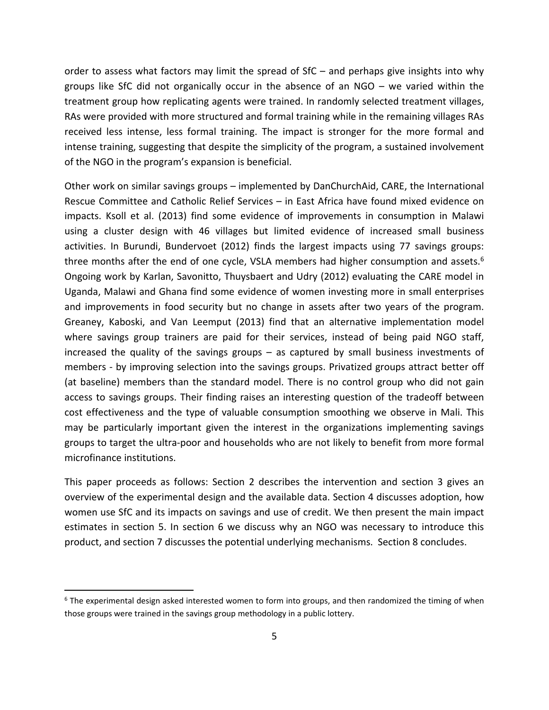order to assess what factors may limit the spread of SfC – and perhaps give insights into why groups like SfC did not organically occur in the absence of an NGO – we varied within the treatment group how replicating agents were trained. In randomly selected treatment villages, RAs were provided with more structured and formal training while in the remaining villages RAs received less intense, less formal training. The impact is stronger for the more formal and intense training, suggesting that despite the simplicity of the program, a sustained involvement of the NGO in the program's expansion is beneficial.

Other work on similar savings groups – implemented by DanChurchAid, CARE, the International Rescue Committee and Catholic Relief Services – in East Africa have found mixed evidence on impacts. Ksoll et al. (2013) find some evidence of improvements in consumption in Malawi using a cluster design with 46 villages but limited evidence of increased small business activities. In Burundi, Bundervoet (2012) finds the largest impacts using 77 savings groups: three months after the end of one cycle, VSLA members had higher consumption and assets.<sup>6</sup> Ongoing work by Karlan, Savonitto, Thuysbaert and Udry (2012) evaluating the CARE model in Uganda, Malawi and Ghana find some evidence of women investing more in small enterprises and improvements in food security but no change in assets after two years of the program. Greaney, Kaboski, and Van Leemput (2013) find that an alternative implementation model where savings group trainers are paid for their services, instead of being paid NGO staff, increased the quality of the savings groups – as captured by small business investments of members - by improving selection into the savings groups. Privatized groups attract better off (at baseline) members than the standard model. There is no control group who did not gain access to savings groups. Their finding raises an interesting question of the tradeoff between cost effectiveness and the type of valuable consumption smoothing we observe in Mali. This may be particularly important given the interest in the organizations implementing savings groups to target the ultra‐poor and households who are not likely to benefit from more formal microfinance institutions.

This paper proceeds as follows: Section 2 describes the intervention and section 3 gives an overview of the experimental design and the available data. Section 4 discusses adoption, how women use SfC and its impacts on savings and use of credit. We then present the main impact estimates in section 5. In section 6 we discuss why an NGO was necessary to introduce this product, and section 7 discusses the potential underlying mechanisms. Section 8 concludes.

 $6$  The experimental design asked interested women to form into groups, and then randomized the timing of when those groups were trained in the savings group methodology in a public lottery.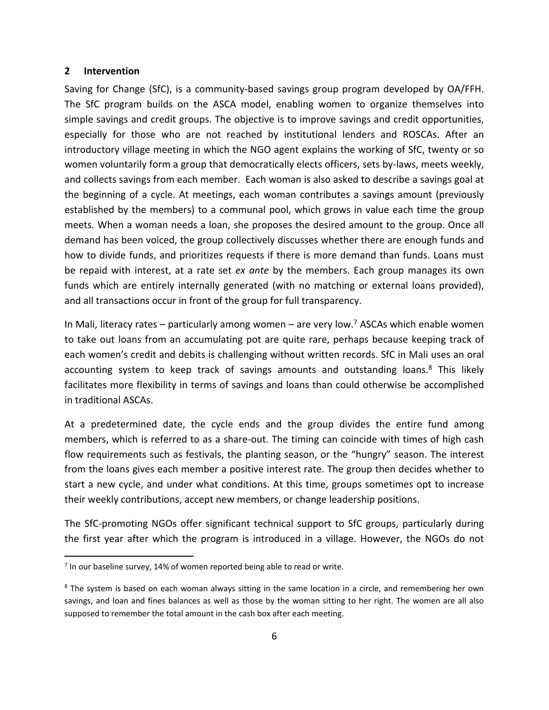### **2 Intervention**

Saving for Change (SfC), is a community‐based savings group program developed by OA/FFH. The SfC program builds on the ASCA model, enabling women to organize themselves into simple savings and credit groups. The objective is to improve savings and credit opportunities, especially for those who are not reached by institutional lenders and ROSCAs. After an introductory village meeting in which the NGO agent explains the working of SfC, twenty or so women voluntarily form a group that democratically elects officers, sets by-laws, meets weekly, and collects savings from each member. Each woman is also asked to describe a savings goal at the beginning of a cycle. At meetings, each woman contributes a savings amount (previously established by the members) to a communal pool, which grows in value each time the group meets. When a woman needs a loan, she proposes the desired amount to the group. Once all demand has been voiced, the group collectively discusses whether there are enough funds and how to divide funds, and prioritizes requests if there is more demand than funds. Loans must be repaid with interest, at a rate set *ex ante* by the members. Each group manages its own funds which are entirely internally generated (with no matching or external loans provided), and all transactions occur in front of the group for full transparency.

In Mali, literacy rates – particularly among women – are very low.<sup>7</sup> ASCAs which enable women to take out loans from an accumulating pot are quite rare, perhaps because keeping track of each women's credit and debits is challenging without written records. SfC in Mali uses an oral accounting system to keep track of savings amounts and outstanding loans.<sup>8</sup> This likely facilitates more flexibility in terms of savings and loans than could otherwise be accomplished in traditional ASCAs.

At a predetermined date, the cycle ends and the group divides the entire fund among members, which is referred to as a share-out. The timing can coincide with times of high cash flow requirements such as festivals, the planting season, or the "hungry" season. The interest from the loans gives each member a positive interest rate. The group then decides whether to start a new cycle, and under what conditions. At this time, groups sometimes opt to increase their weekly contributions, accept new members, or change leadership positions.

The SfC‐promoting NGOs offer significant technical support to SfC groups, particularly during the first year after which the program is introduced in a village. However, the NGOs do not

<sup>&</sup>lt;sup>7</sup> In our baseline survey, 14% of women reported being able to read or write.

<sup>&</sup>lt;sup>8</sup> The system is based on each woman always sitting in the same location in a circle, and remembering her own savings, and loan and fines balances as well as those by the woman sitting to her right. The women are all also supposed to remember the total amount in the cash box after each meeting.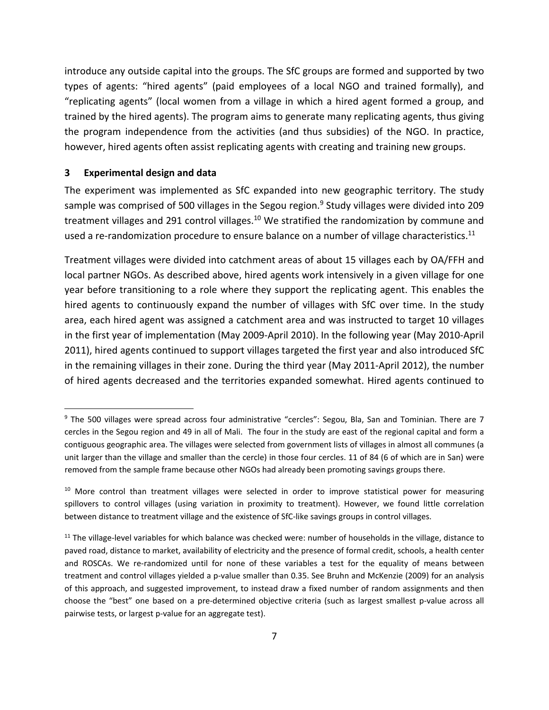introduce any outside capital into the groups. The SfC groups are formed and supported by two types of agents: "hired agents" (paid employees of a local NGO and trained formally), and "replicating agents" (local women from a village in which a hired agent formed a group, and trained by the hired agents). The program aims to generate many replicating agents, thus giving the program independence from the activities (and thus subsidies) of the NGO. In practice, however, hired agents often assist replicating agents with creating and training new groups.

### **3 Experimental design and data**

The experiment was implemented as SfC expanded into new geographic territory. The study sample was comprised of 500 villages in the Segou region.<sup>9</sup> Study villages were divided into 209 treatment villages and 291 control villages.<sup>10</sup> We stratified the randomization by commune and used a re-randomization procedure to ensure balance on a number of village characteristics.<sup>11</sup>

Treatment villages were divided into catchment areas of about 15 villages each by OA/FFH and local partner NGOs. As described above, hired agents work intensively in a given village for one year before transitioning to a role where they support the replicating agent. This enables the hired agents to continuously expand the number of villages with SfC over time. In the study area, each hired agent was assigned a catchment area and was instructed to target 10 villages in the first year of implementation (May 2009‐April 2010). In the following year (May 2010‐April 2011), hired agents continued to support villages targeted the first year and also introduced SfC in the remaining villages in their zone. During the third year (May 2011‐April 2012), the number of hired agents decreased and the territories expanded somewhat. Hired agents continued to

<sup>&</sup>lt;sup>9</sup> The 500 villages were spread across four administrative "cercles": Segou, Bla, San and Tominian. There are 7 cercles in the Segou region and 49 in all of Mali. The four in the study are east of the regional capital and form a contiguous geographic area. The villages were selected from government lists of villages in almost all communes (a unit larger than the village and smaller than the cercle) in those four cercles. 11 of 84 (6 of which are in San) were removed from the sample frame because other NGOs had already been promoting savings groups there.

<sup>&</sup>lt;sup>10</sup> More control than treatment villages were selected in order to improve statistical power for measuring spillovers to control villages (using variation in proximity to treatment). However, we found little correlation between distance to treatment village and the existence of SfC-like savings groups in control villages.

 $11$  The village-level variables for which balance was checked were: number of households in the village, distance to paved road, distance to market, availability of electricity and the presence of formal credit, schools, a health center and ROSCAs. We re-randomized until for none of these variables a test for the equality of means between treatment and control villages yielded a p-value smaller than 0.35. See Bruhn and McKenzie (2009) for an analysis of this approach, and suggested improvement, to instead draw a fixed number of random assignments and then choose the "best" one based on a pre‐determined objective criteria (such as largest smallest p‐value across all pairwise tests, or largest p-value for an aggregate test).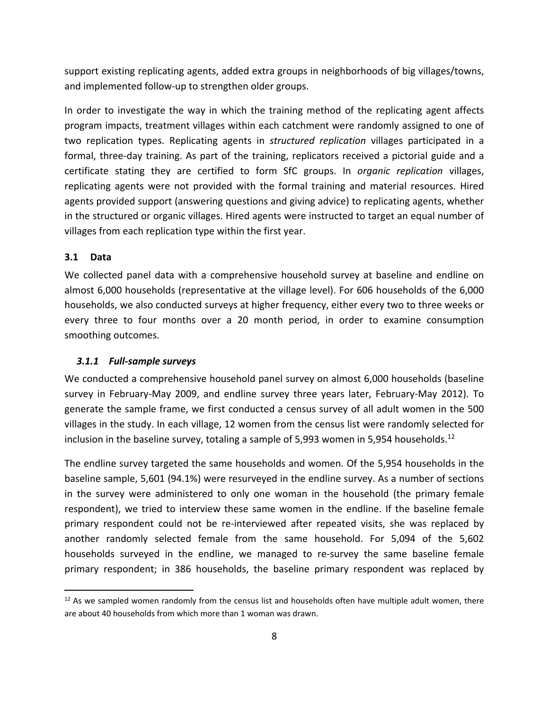support existing replicating agents, added extra groups in neighborhoods of big villages/towns, and implemented follow‐up to strengthen older groups.

In order to investigate the way in which the training method of the replicating agent affects program impacts, treatment villages within each catchment were randomly assigned to one of two replication types. Replicating agents in *structured replication* villages participated in a formal, three‐day training. As part of the training, replicators received a pictorial guide and a certificate stating they are certified to form SfC groups. In *organic replication* villages, replicating agents were not provided with the formal training and material resources. Hired agents provided support (answering questions and giving advice) to replicating agents, whether in the structured or organic villages. Hired agents were instructed to target an equal number of villages from each replication type within the first year.

### **3.1 Data**

We collected panel data with a comprehensive household survey at baseline and endline on almost 6,000 households (representative at the village level). For 606 households of the 6,000 households, we also conducted surveys at higher frequency, either every two to three weeks or every three to four months over a 20 month period, in order to examine consumption smoothing outcomes.

### *3.1.1 Full‐sample surveys*

We conducted a comprehensive household panel survey on almost 6,000 households (baseline survey in February-May 2009, and endline survey three years later, February-May 2012). To generate the sample frame, we first conducted a census survey of all adult women in the 500 villages in the study. In each village, 12 women from the census list were randomly selected for inclusion in the baseline survey, totaling a sample of 5,993 women in 5,954 households.<sup>12</sup>

The endline survey targeted the same households and women. Of the 5,954 households in the baseline sample, 5,601 (94.1%) were resurveyed in the endline survey. As a number of sections in the survey were administered to only one woman in the household (the primary female respondent), we tried to interview these same women in the endline. If the baseline female primary respondent could not be re‐interviewed after repeated visits, she was replaced by another randomly selected female from the same household. For 5,094 of the 5,602 households surveyed in the endline, we managed to re-survey the same baseline female primary respondent; in 386 households, the baseline primary respondent was replaced by

 $12$  As we sampled women randomly from the census list and households often have multiple adult women, there are about 40 households from which more than 1 woman was drawn.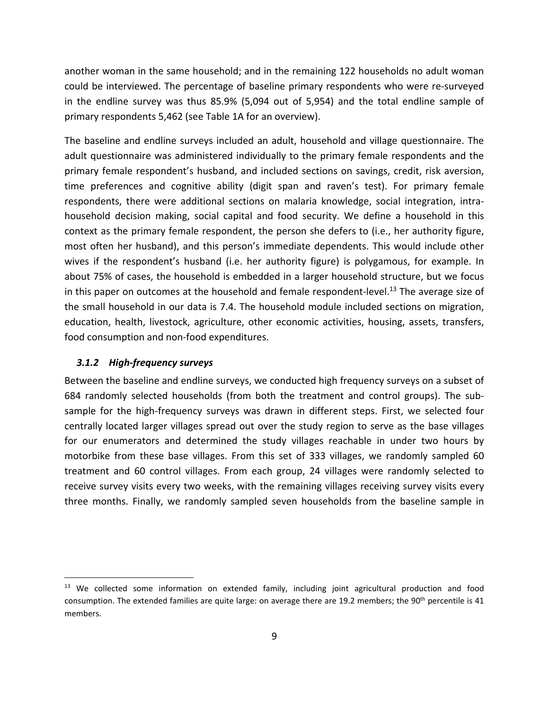another woman in the same household; and in the remaining 122 households no adult woman could be interviewed. The percentage of baseline primary respondents who were re‐surveyed in the endline survey was thus 85.9% (5,094 out of 5,954) and the total endline sample of primary respondents 5,462 (see Table 1A for an overview).

The baseline and endline surveys included an adult, household and village questionnaire. The adult questionnaire was administered individually to the primary female respondents and the primary female respondent's husband, and included sections on savings, credit, risk aversion, time preferences and cognitive ability (digit span and raven's test). For primary female respondents, there were additional sections on malaria knowledge, social integration, intra‐ household decision making, social capital and food security. We define a household in this context as the primary female respondent, the person she defers to (i.e., her authority figure, most often her husband), and this person's immediate dependents. This would include other wives if the respondent's husband (i.e. her authority figure) is polygamous, for example. In about 75% of cases, the household is embedded in a larger household structure, but we focus in this paper on outcomes at the household and female respondent-level.<sup>13</sup> The average size of the small household in our data is 7.4. The household module included sections on migration, education, health, livestock, agriculture, other economic activities, housing, assets, transfers, food consumption and non‐food expenditures.

### *3.1.2 High‐frequency surveys*

Between the baseline and endline surveys, we conducted high frequency surveys on a subset of 684 randomly selected households (from both the treatment and control groups). The sub‐ sample for the high-frequency surveys was drawn in different steps. First, we selected four centrally located larger villages spread out over the study region to serve as the base villages for our enumerators and determined the study villages reachable in under two hours by motorbike from these base villages. From this set of 333 villages, we randomly sampled 60 treatment and 60 control villages. From each group, 24 villages were randomly selected to receive survey visits every two weeks, with the remaining villages receiving survey visits every three months. Finally, we randomly sampled seven households from the baseline sample in

<sup>&</sup>lt;sup>13</sup> We collected some information on extended family, including joint agricultural production and food consumption. The extended families are quite large: on average there are 19.2 members; the 90<sup>th</sup> percentile is 41 members.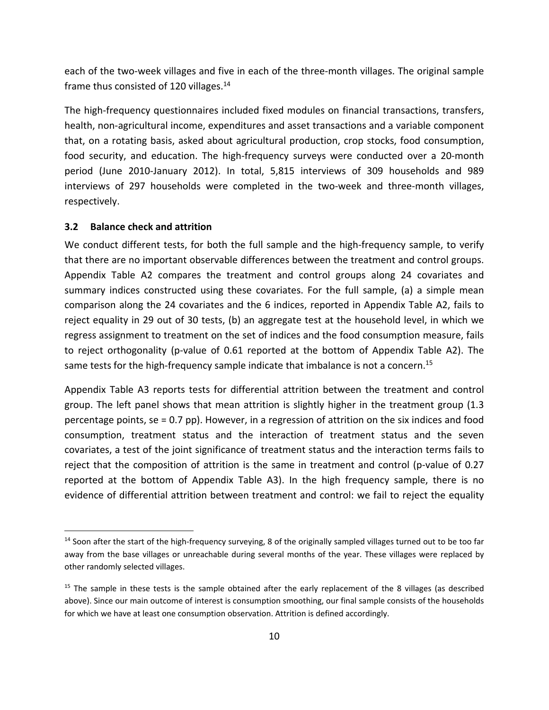each of the two-week villages and five in each of the three-month villages. The original sample frame thus consisted of 120 villages.<sup>14</sup>

The high‐frequency questionnaires included fixed modules on financial transactions, transfers, health, non-agricultural income, expenditures and asset transactions and a variable component that, on a rotating basis, asked about agricultural production, crop stocks, food consumption, food security, and education. The high-frequency surveys were conducted over a 20-month period (June 2010‐January 2012). In total, 5,815 interviews of 309 households and 989 interviews of 297 households were completed in the two-week and three-month villages, respectively.

# **3.2 Balance check and attrition**

We conduct different tests, for both the full sample and the high-frequency sample, to verify that there are no important observable differences between the treatment and control groups. Appendix Table A2 compares the treatment and control groups along 24 covariates and summary indices constructed using these covariates. For the full sample, (a) a simple mean comparison along the 24 covariates and the 6 indices, reported in Appendix Table A2, fails to reject equality in 29 out of 30 tests, (b) an aggregate test at the household level, in which we regress assignment to treatment on the set of indices and the food consumption measure, fails to reject orthogonality (p-value of 0.61 reported at the bottom of Appendix Table A2). The same tests for the high-frequency sample indicate that imbalance is not a concern.<sup>15</sup>

Appendix Table A3 reports tests for differential attrition between the treatment and control group. The left panel shows that mean attrition is slightly higher in the treatment group (1.3 percentage points, se = 0.7 pp). However, in a regression of attrition on the six indices and food consumption, treatment status and the interaction of treatment status and the seven covariates, a test of the joint significance of treatment status and the interaction terms fails to reject that the composition of attrition is the same in treatment and control (p-value of 0.27 reported at the bottom of Appendix Table A3). In the high frequency sample, there is no evidence of differential attrition between treatment and control: we fail to reject the equality

<sup>&</sup>lt;sup>14</sup> Soon after the start of the high-frequency surveying, 8 of the originally sampled villages turned out to be too far away from the base villages or unreachable during several months of the year. These villages were replaced by other randomly selected villages.

<sup>&</sup>lt;sup>15</sup> The sample in these tests is the sample obtained after the early replacement of the 8 villages (as described above). Since our main outcome of interest is consumption smoothing, our final sample consists of the households for which we have at least one consumption observation. Attrition is defined accordingly.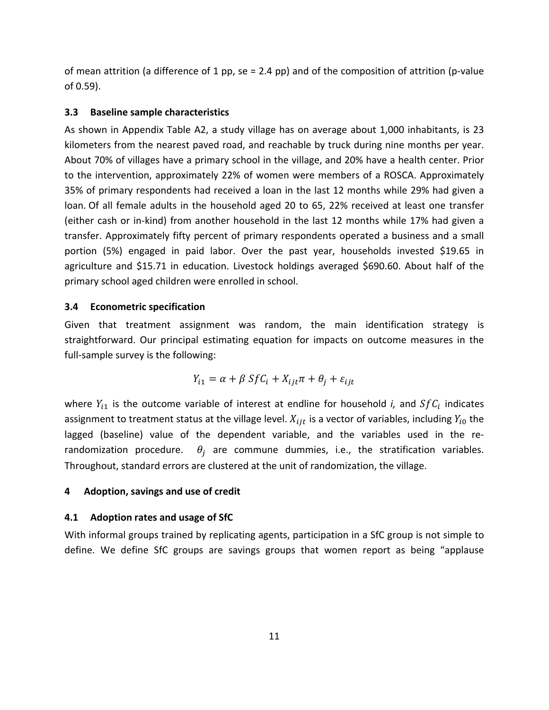of mean attrition (a difference of 1 pp, se = 2.4 pp) and of the composition of attrition (p-value of 0.59).

## **3.3 Baseline sample characteristics**

As shown in Appendix Table A2, a study village has on average about 1,000 inhabitants, is 23 kilometers from the nearest paved road, and reachable by truck during nine months per year. About 70% of villages have a primary school in the village, and 20% have a health center. Prior to the intervention, approximately 22% of women were members of a ROSCA. Approximately 35% of primary respondents had received a loan in the last 12 months while 29% had given a loan. Of all female adults in the household aged 20 to 65, 22% received at least one transfer (either cash or in‐kind) from another household in the last 12 months while 17% had given a transfer. Approximately fifty percent of primary respondents operated a business and a small portion (5%) engaged in paid labor. Over the past year, households invested \$19.65 in agriculture and \$15.71 in education. Livestock holdings averaged \$690.60. About half of the primary school aged children were enrolled in school.

## **3.4 Econometric specification**

Given that treatment assignment was random, the main identification strategy is straightforward. Our principal estimating equation for impacts on outcome measures in the full-sample survey is the following:

$$
Y_{i1} = \alpha + \beta S f C_i + X_{ijt} \pi + \theta_j + \varepsilon_{ijt}
$$

where  $Y_{i1}$  is the outcome variable of interest at endline for household *i*, and  $SfC_i$  indicates assignment to treatment status at the village level.  $X_{ijt}$  is a vector of variables, including  $Y_{i0}$  the lagged (baseline) value of the dependent variable, and the variables used in the re‐ randomization procedure.  $\theta_i$  are commune dummies, i.e., the stratification variables. Throughout, standard errors are clustered at the unit of randomization, the village.

# **4 Adoption, savings and use of credit**

# **4.1 Adoption rates and usage of SfC**

With informal groups trained by replicating agents, participation in a SfC group is not simple to define. We define SfC groups are savings groups that women report as being "applause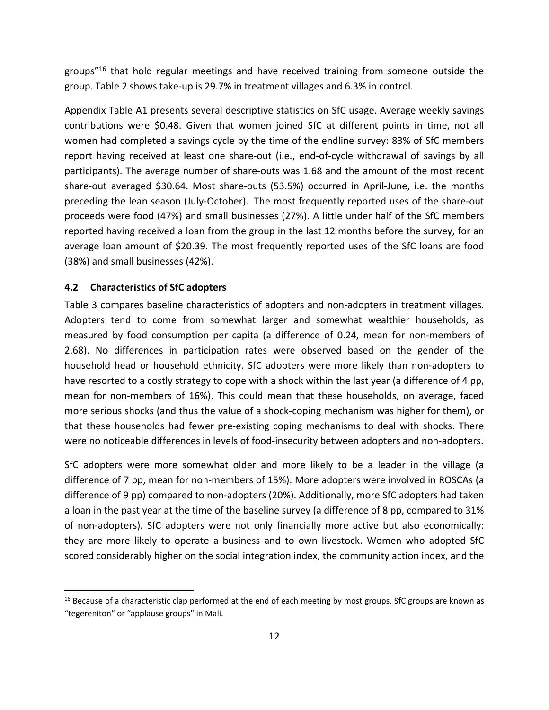groups<sup>"16</sup> that hold regular meetings and have received training from someone outside the group. Table 2 shows take‐up is 29.7% in treatment villages and 6.3% in control.

Appendix Table A1 presents several descriptive statistics on SfC usage. Average weekly savings contributions were \$0.48. Given that women joined SfC at different points in time, not all women had completed a savings cycle by the time of the endline survey: 83% of SfC members report having received at least one share‐out (i.e., end‐of‐cycle withdrawal of savings by all participants). The average number of share‐outs was 1.68 and the amount of the most recent share‐out averaged \$30.64. Most share‐outs (53.5%) occurred in April‐June, i.e. the months preceding the lean season (July‐October). The most frequently reported uses of the share‐out proceeds were food (47%) and small businesses (27%). A little under half of the SfC members reported having received a loan from the group in the last 12 months before the survey, for an average loan amount of \$20.39. The most frequently reported uses of the SfC loans are food (38%) and small businesses (42%).

### **4.2 Characteristics of SfC adopters**

Table 3 compares baseline characteristics of adopters and non-adopters in treatment villages. Adopters tend to come from somewhat larger and somewhat wealthier households, as measured by food consumption per capita (a difference of 0.24, mean for non‐members of 2.68). No differences in participation rates were observed based on the gender of the household head or household ethnicity. SfC adopters were more likely than non-adopters to have resorted to a costly strategy to cope with a shock within the last year (a difference of 4 pp, mean for non-members of 16%). This could mean that these households, on average, faced more serious shocks (and thus the value of a shock‐coping mechanism was higher for them), or that these households had fewer pre‐existing coping mechanisms to deal with shocks. There were no noticeable differences in levels of food-insecurity between adopters and non-adopters.

SfC adopters were more somewhat older and more likely to be a leader in the village (a difference of 7 pp, mean for non‐members of 15%). More adopters were involved in ROSCAs (a difference of 9 pp) compared to non‐adopters (20%). Additionally, more SfC adopters had taken a loan in the past year at the time of the baseline survey (a difference of 8 pp, compared to 31% of non‐adopters). SfC adopters were not only financially more active but also economically: they are more likely to operate a business and to own livestock. Women who adopted SfC scored considerably higher on the social integration index, the community action index, and the

<sup>&</sup>lt;sup>16</sup> Because of a characteristic clap performed at the end of each meeting by most groups, SfC groups are known as "tegereniton" or "applause groups" in Mali.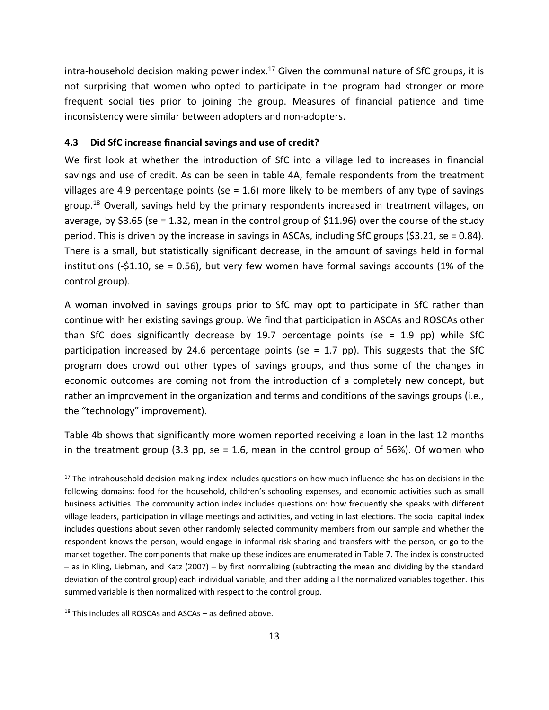intra-household decision making power index.<sup>17</sup> Given the communal nature of SfC groups, it is not surprising that women who opted to participate in the program had stronger or more frequent social ties prior to joining the group. Measures of financial patience and time inconsistency were similar between adopters and non‐adopters.

## **4.3 Did SfC increase financial savings and use of credit?**

We first look at whether the introduction of SfC into a village led to increases in financial savings and use of credit. As can be seen in table 4A, female respondents from the treatment villages are 4.9 percentage points (se =  $1.6$ ) more likely to be members of any type of savings group.<sup>18</sup> Overall, savings held by the primary respondents increased in treatment villages, on average, by \$3.65 (se = 1.32, mean in the control group of \$11.96) over the course of the study period. This is driven by the increase in savings in ASCAs, including SfC groups (\$3.21, se = 0.84). There is a small, but statistically significant decrease, in the amount of savings held in formal institutions (‐\$1.10, se = 0.56), but very few women have formal savings accounts (1% of the control group).

A woman involved in savings groups prior to SfC may opt to participate in SfC rather than continue with her existing savings group. We find that participation in ASCAs and ROSCAs other than SfC does significantly decrease by 19.7 percentage points (se = 1.9 pp) while SfC participation increased by 24.6 percentage points (se = 1.7 pp). This suggests that the SfC program does crowd out other types of savings groups, and thus some of the changes in economic outcomes are coming not from the introduction of a completely new concept, but rather an improvement in the organization and terms and conditions of the savings groups (i.e., the "technology" improvement).

Table 4b shows that significantly more women reported receiving a loan in the last 12 months in the treatment group  $(3.3 \text{ pp}, \text{se} = 1.6, \text{mean}$  in the control group of 56%). Of women who

 $17$  The intrahousehold decision-making index includes questions on how much influence she has on decisions in the following domains: food for the household, children's schooling expenses, and economic activities such as small business activities. The community action index includes questions on: how frequently she speaks with different village leaders, participation in village meetings and activities, and voting in last elections. The social capital index includes questions about seven other randomly selected community members from our sample and whether the respondent knows the person, would engage in informal risk sharing and transfers with the person, or go to the market together. The components that make up these indices are enumerated in Table 7. The index is constructed – as in Kling, Liebman, and Katz (2007) – by first normalizing (subtracting the mean and dividing by the standard deviation of the control group) each individual variable, and then adding all the normalized variables together. This summed variable is then normalized with respect to the control group.

 $18$  This includes all ROSCAs and ASCAs – as defined above.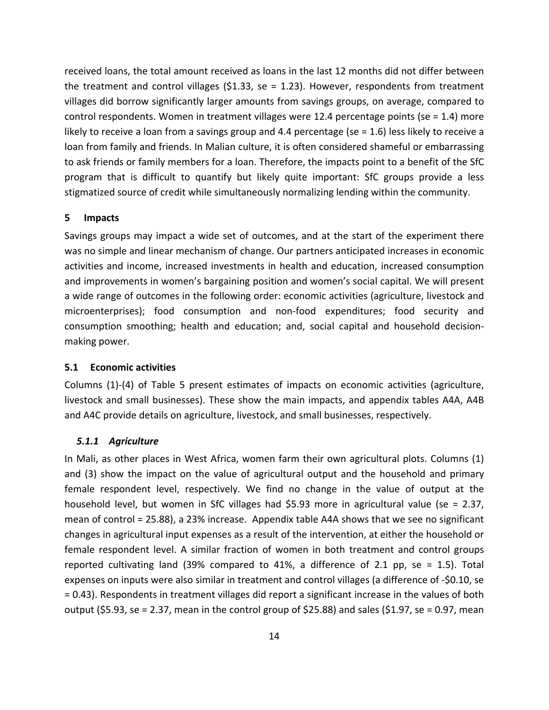received loans, the total amount received as loans in the last 12 months did not differ between the treatment and control villages  $(51.33,$  se = 1.23). However, respondents from treatment villages did borrow significantly larger amounts from savings groups, on average, compared to control respondents. Women in treatment villages were 12.4 percentage points (se = 1.4) more likely to receive a loan from a savings group and 4.4 percentage (se = 1.6) less likely to receive a loan from family and friends. In Malian culture, it is often considered shameful or embarrassing to ask friends or family members for a loan. Therefore, the impacts point to a benefit of the SfC program that is difficult to quantify but likely quite important: SfC groups provide a less stigmatized source of credit while simultaneously normalizing lending within the community.

### **5 Impacts**

Savings groups may impact a wide set of outcomes, and at the start of the experiment there was no simple and linear mechanism of change. Our partners anticipated increases in economic activities and income, increased investments in health and education, increased consumption and improvements in women's bargaining position and women's social capital. We will present a wide range of outcomes in the following order: economic activities (agriculture, livestock and microenterprises); food consumption and non‐food expenditures; food security and consumption smoothing; health and education; and, social capital and household decision‐ making power.

### **5.1 Economic activities**

Columns (1)‐(4) of Table 5 present estimates of impacts on economic activities (agriculture, livestock and small businesses). These show the main impacts, and appendix tables A4A, A4B and A4C provide details on agriculture, livestock, and small businesses, respectively.

### *5.1.1 Agriculture*

In Mali, as other places in West Africa, women farm their own agricultural plots. Columns (1) and (3) show the impact on the value of agricultural output and the household and primary female respondent level, respectively. We find no change in the value of output at the household level, but women in SfC villages had \$5.93 more in agricultural value (se = 2.37, mean of control = 25.88), a 23% increase. Appendix table A4A shows that we see no significant changes in agricultural input expenses as a result of the intervention, at either the household or female respondent level. A similar fraction of women in both treatment and control groups reported cultivating land (39% compared to 41%, a difference of 2.1 pp, se = 1.5). Total expenses on inputs were also similar in treatment and control villages (a difference of ‐\$0.10, se = 0.43). Respondents in treatment villages did report a significant increase in the values of both output (\$5.93, se = 2.37, mean in the control group of \$25.88) and sales (\$1.97, se = 0.97, mean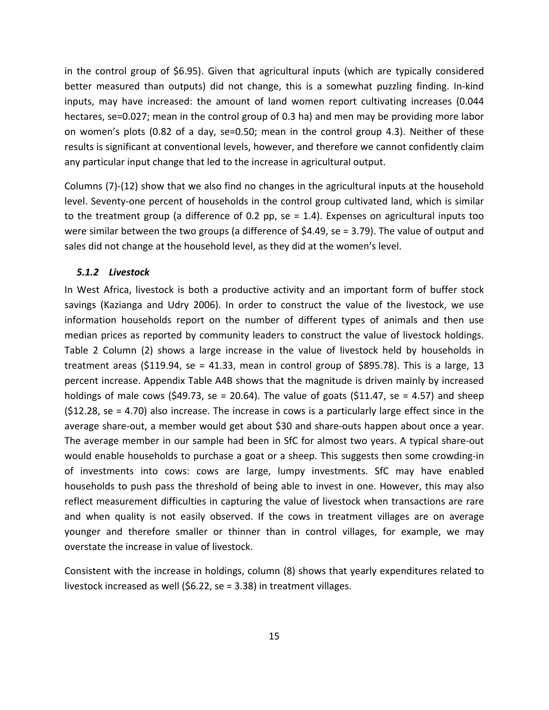in the control group of \$6.95). Given that agricultural inputs (which are typically considered better measured than outputs) did not change, this is a somewhat puzzling finding. In‐kind inputs, may have increased: the amount of land women report cultivating increases (0.044 hectares, se=0.027; mean in the control group of 0.3 ha) and men may be providing more labor on women's plots (0.82 of a day, se=0.50; mean in the control group 4.3). Neither of these results is significant at conventional levels, however, and therefore we cannot confidently claim any particular input change that led to the increase in agricultural output.

Columns (7)‐(12) show that we also find no changes in the agricultural inputs at the household level. Seventy‐one percent of households in the control group cultivated land, which is similar to the treatment group (a difference of 0.2 pp, se = 1.4). Expenses on agricultural inputs too were similar between the two groups (a difference of \$4.49, se = 3.79). The value of output and sales did not change at the household level, as they did at the women's level.

#### *5.1.2 Livestock*

In West Africa, livestock is both a productive activity and an important form of buffer stock savings (Kazianga and Udry 2006). In order to construct the value of the livestock, we use information households report on the number of different types of animals and then use median prices as reported by community leaders to construct the value of livestock holdings. Table 2 Column (2) shows a large increase in the value of livestock held by households in treatment areas (\$119.94, se = 41.33, mean in control group of \$895.78). This is a large, 13 percent increase. Appendix Table A4B shows that the magnitude is driven mainly by increased holdings of male cows (\$49.73, se = 20.64). The value of goats (\$11.47, se = 4.57) and sheep (\$12.28, se = 4.70) also increase. The increase in cows is a particularly large effect since in the average share‐out, a member would get about \$30 and share‐outs happen about once a year. The average member in our sample had been in SfC for almost two years. A typical share‐out would enable households to purchase a goat or a sheep. This suggests then some crowding‐in of investments into cows: cows are large, lumpy investments. SfC may have enabled households to push pass the threshold of being able to invest in one. However, this may also reflect measurement difficulties in capturing the value of livestock when transactions are rare and when quality is not easily observed. If the cows in treatment villages are on average younger and therefore smaller or thinner than in control villages, for example, we may overstate the increase in value of livestock.

Consistent with the increase in holdings, column (8) shows that yearly expenditures related to livestock increased as well (\$6.22, se = 3.38) in treatment villages.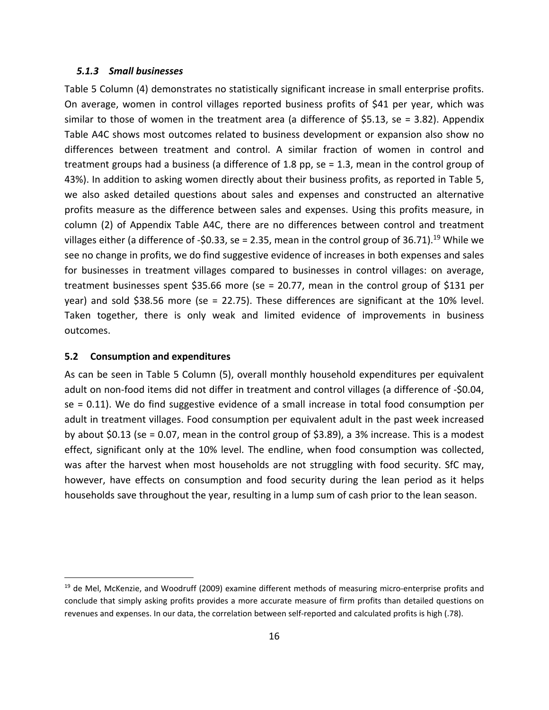### *5.1.3 Small businesses*

Table 5 Column (4) demonstrates no statistically significant increase in small enterprise profits. On average, women in control villages reported business profits of \$41 per year, which was similar to those of women in the treatment area (a difference of \$5.13, se = 3.82). Appendix Table A4C shows most outcomes related to business development or expansion also show no differences between treatment and control. A similar fraction of women in control and treatment groups had a business (a difference of 1.8 pp, se = 1.3, mean in the control group of 43%). In addition to asking women directly about their business profits, as reported in Table 5, we also asked detailed questions about sales and expenses and constructed an alternative profits measure as the difference between sales and expenses. Using this profits measure, in column (2) of Appendix Table A4C, there are no differences between control and treatment villages either (a difference of -\$0.33, se = 2.35, mean in the control group of 36.71).<sup>19</sup> While we see no change in profits, we do find suggestive evidence of increases in both expenses and sales for businesses in treatment villages compared to businesses in control villages: on average, treatment businesses spent \$35.66 more (se = 20.77, mean in the control group of \$131 per year) and sold \$38.56 more (se = 22.75). These differences are significant at the 10% level. Taken together, there is only weak and limited evidence of improvements in business outcomes.

#### **5.2 Consumption and expenditures**

As can be seen in Table 5 Column (5), overall monthly household expenditures per equivalent adult on non-food items did not differ in treatment and control villages (a difference of -\$0.04, se = 0.11). We do find suggestive evidence of a small increase in total food consumption per adult in treatment villages. Food consumption per equivalent adult in the past week increased by about \$0.13 (se = 0.07, mean in the control group of \$3.89), a 3% increase. This is a modest effect, significant only at the 10% level. The endline, when food consumption was collected, was after the harvest when most households are not struggling with food security. SfC may, however, have effects on consumption and food security during the lean period as it helps households save throughout the year, resulting in a lump sum of cash prior to the lean season.

<sup>&</sup>lt;sup>19</sup> de Mel, McKenzie, and Woodruff (2009) examine different methods of measuring micro-enterprise profits and conclude that simply asking profits provides a more accurate measure of firm profits than detailed questions on revenues and expenses. In our data, the correlation between self‐reported and calculated profits is high (.78).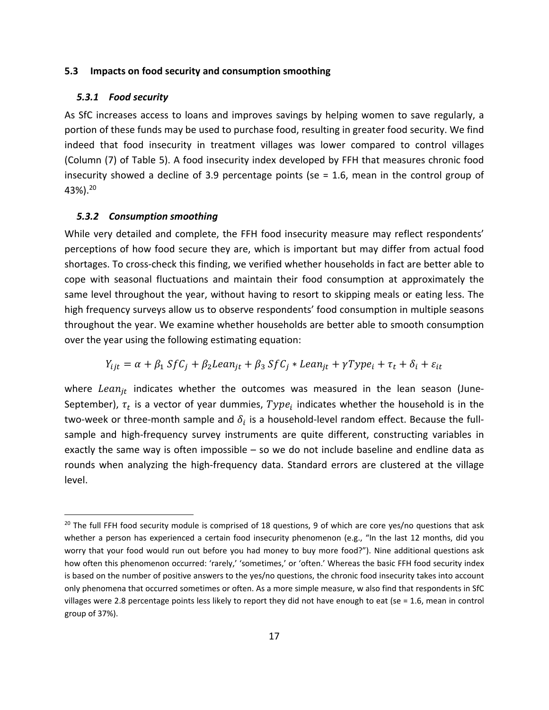### **5.3 Impacts on food security and consumption smoothing**

#### *5.3.1 Food security*

As SfC increases access to loans and improves savings by helping women to save regularly, a portion of these funds may be used to purchase food, resulting in greater food security. We find indeed that food insecurity in treatment villages was lower compared to control villages (Column (7) of Table 5). A food insecurity index developed by FFH that measures chronic food insecurity showed a decline of 3.9 percentage points (se = 1.6, mean in the control group of 43%).20

## *5.3.2 Consumption smoothing*

While very detailed and complete, the FFH food insecurity measure may reflect respondents' perceptions of how food secure they are, which is important but may differ from actual food shortages. To cross‐check this finding, we verified whether households in fact are better able to cope with seasonal fluctuations and maintain their food consumption at approximately the same level throughout the year, without having to resort to skipping meals or eating less. The high frequency surveys allow us to observe respondents' food consumption in multiple seasons throughout the year. We examine whether households are better able to smooth consumption over the year using the following estimating equation:

$$
Y_{ijt} = \alpha + \beta_1 S f C_j + \beta_2 Lean_{jt} + \beta_3 S f C_j * Lean_{jt} + \gamma Type_i + \tau_t + \delta_i + \varepsilon_{it}
$$

where Lean<sub>it</sub> indicates whether the outcomes was measured in the lean season (June-September),  $\tau_t$  is a vector of year dummies,  $Type_i$  indicates whether the household is in the two-week or three-month sample and  $\delta_i$  is a household-level random effect. Because the fullsample and high‐frequency survey instruments are quite different, constructing variables in exactly the same way is often impossible – so we do not include baseline and endline data as rounds when analyzing the high‐frequency data. Standard errors are clustered at the village level.

<sup>&</sup>lt;sup>20</sup> The full FFH food security module is comprised of 18 questions, 9 of which are core yes/no questions that ask whether a person has experienced a certain food insecurity phenomenon (e.g., "In the last 12 months, did you worry that your food would run out before you had money to buy more food?"). Nine additional questions ask how often this phenomenon occurred: 'rarely,' 'sometimes,' or 'often.' Whereas the basic FFH food security index is based on the number of positive answers to the yes/no questions, the chronic food insecurity takes into account only phenomena that occurred sometimes or often. As a more simple measure, w also find that respondents in SfC villages were 2.8 percentage points less likely to report they did not have enough to eat (se = 1.6, mean in control group of 37%).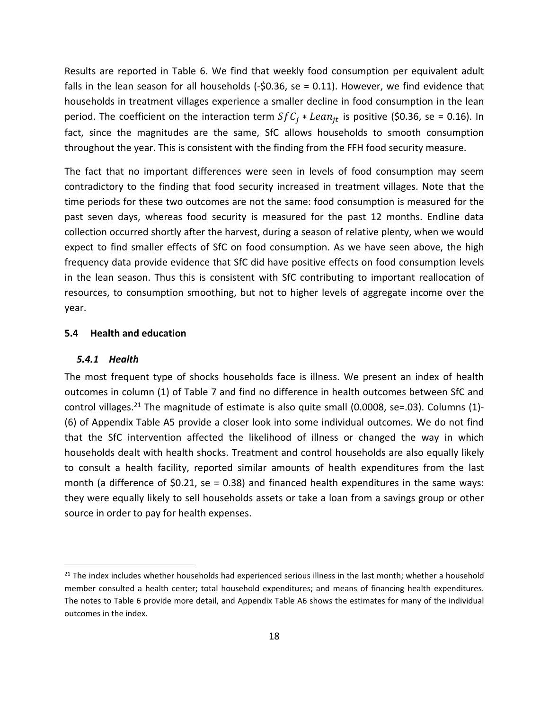Results are reported in Table 6. We find that weekly food consumption per equivalent adult falls in the lean season for all households  $(-\xi 0.36, \xi e = 0.11)$ . However, we find evidence that households in treatment villages experience a smaller decline in food consumption in the lean period. The coefficient on the interaction term  $SfC_i * Lean_{it}$  is positive (\$0.36, se = 0.16). In fact, since the magnitudes are the same, SfC allows households to smooth consumption throughout the year. This is consistent with the finding from the FFH food security measure.

The fact that no important differences were seen in levels of food consumption may seem contradictory to the finding that food security increased in treatment villages. Note that the time periods for these two outcomes are not the same: food consumption is measured for the past seven days, whereas food security is measured for the past 12 months. Endline data collection occurred shortly after the harvest, during a season of relative plenty, when we would expect to find smaller effects of SfC on food consumption. As we have seen above, the high frequency data provide evidence that SfC did have positive effects on food consumption levels in the lean season. Thus this is consistent with SfC contributing to important reallocation of resources, to consumption smoothing, but not to higher levels of aggregate income over the year.

### **5.4 Health and education**

## *5.4.1 Health*

The most frequent type of shocks households face is illness. We present an index of health outcomes in column (1) of Table 7 and find no difference in health outcomes between SfC and control villages.<sup>21</sup> The magnitude of estimate is also quite small (0.0008, se=.03). Columns (1)-(6) of Appendix Table A5 provide a closer look into some individual outcomes. We do not find that the SfC intervention affected the likelihood of illness or changed the way in which households dealt with health shocks. Treatment and control households are also equally likely to consult a health facility, reported similar amounts of health expenditures from the last month (a difference of  $$0.21$ , se = 0.38) and financed health expenditures in the same ways: they were equally likely to sell households assets or take a loan from a savings group or other source in order to pay for health expenses.

 $21$  The index includes whether households had experienced serious illness in the last month; whether a household member consulted a health center; total household expenditures; and means of financing health expenditures. The notes to Table 6 provide more detail, and Appendix Table A6 shows the estimates for many of the individual outcomes in the index.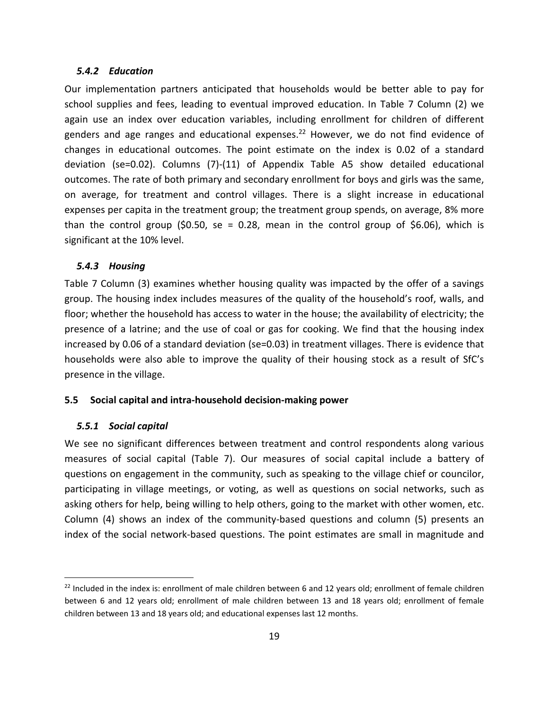### *5.4.2 Education*

Our implementation partners anticipated that households would be better able to pay for school supplies and fees, leading to eventual improved education. In Table 7 Column (2) we again use an index over education variables, including enrollment for children of different genders and age ranges and educational expenses.<sup>22</sup> However, we do not find evidence of changes in educational outcomes. The point estimate on the index is 0.02 of a standard deviation (se=0.02). Columns (7)‐(11) of Appendix Table A5 show detailed educational outcomes. The rate of both primary and secondary enrollment for boys and girls was the same, on average, for treatment and control villages. There is a slight increase in educational expenses per capita in the treatment group; the treatment group spends, on average, 8% more than the control group (\$0.50, se = 0.28, mean in the control group of \$6.06), which is significant at the 10% level.

## *5.4.3 Housing*

Table 7 Column (3) examines whether housing quality was impacted by the offer of a savings group. The housing index includes measures of the quality of the household's roof, walls, and floor; whether the household has access to water in the house; the availability of electricity; the presence of a latrine; and the use of coal or gas for cooking. We find that the housing index increased by 0.06 of a standard deviation (se=0.03) in treatment villages. There is evidence that households were also able to improve the quality of their housing stock as a result of SfC's presence in the village.

### **5.5 Social capital and intra‐household decision‐making power**

#### *5.5.1 Social capital*

We see no significant differences between treatment and control respondents along various measures of social capital (Table 7). Our measures of social capital include a battery of questions on engagement in the community, such as speaking to the village chief or councilor, participating in village meetings, or voting, as well as questions on social networks, such as asking others for help, being willing to help others, going to the market with other women, etc. Column (4) shows an index of the community‐based questions and column (5) presents an index of the social network‐based questions. The point estimates are small in magnitude and

 $22$  Included in the index is: enrollment of male children between 6 and 12 years old; enrollment of female children between 6 and 12 years old; enrollment of male children between 13 and 18 years old; enrollment of female children between 13 and 18 years old; and educational expenses last 12 months.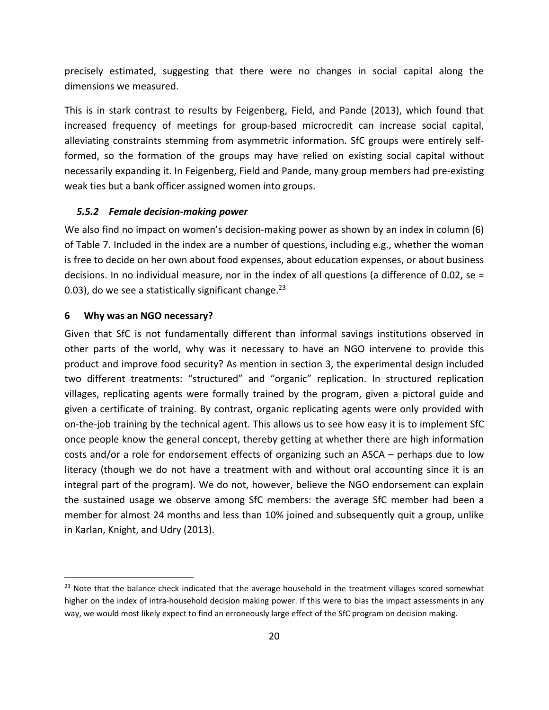precisely estimated, suggesting that there were no changes in social capital along the dimensions we measured.

This is in stark contrast to results by Feigenberg, Field, and Pande (2013), which found that increased frequency of meetings for group‐based microcredit can increase social capital, alleviating constraints stemming from asymmetric information. SfC groups were entirely self‐ formed, so the formation of the groups may have relied on existing social capital without necessarily expanding it. In Feigenberg, Field and Pande, many group members had pre‐existing weak ties but a bank officer assigned women into groups.

## *5.5.2 Female decision‐making power*

We also find no impact on women's decision-making power as shown by an index in column (6) of Table 7. Included in the index are a number of questions, including e.g., whether the woman is free to decide on her own about food expenses, about education expenses, or about business decisions. In no individual measure, nor in the index of all questions (a difference of 0.02, se  $=$ 0.03), do we see a statistically significant change.<sup>23</sup>

## **6 Why was an NGO necessary?**

Given that SfC is not fundamentally different than informal savings institutions observed in other parts of the world, why was it necessary to have an NGO intervene to provide this product and improve food security? As mention in section 3, the experimental design included two different treatments: "structured" and "organic" replication. In structured replication villages, replicating agents were formally trained by the program, given a pictoral guide and given a certificate of training. By contrast, organic replicating agents were only provided with on-the-job training by the technical agent. This allows us to see how easy it is to implement SfC once people know the general concept, thereby getting at whether there are high information costs and/or a role for endorsement effects of organizing such an ASCA – perhaps due to low literacy (though we do not have a treatment with and without oral accounting since it is an integral part of the program). We do not, however, believe the NGO endorsement can explain the sustained usage we observe among SfC members: the average SfC member had been a member for almost 24 months and less than 10% joined and subsequently quit a group, unlike in Karlan, Knight, and Udry (2013).

<sup>&</sup>lt;sup>23</sup> Note that the balance check indicated that the average household in the treatment villages scored somewhat higher on the index of intra-household decision making power. If this were to bias the impact assessments in any way, we would most likely expect to find an erroneously large effect of the SfC program on decision making.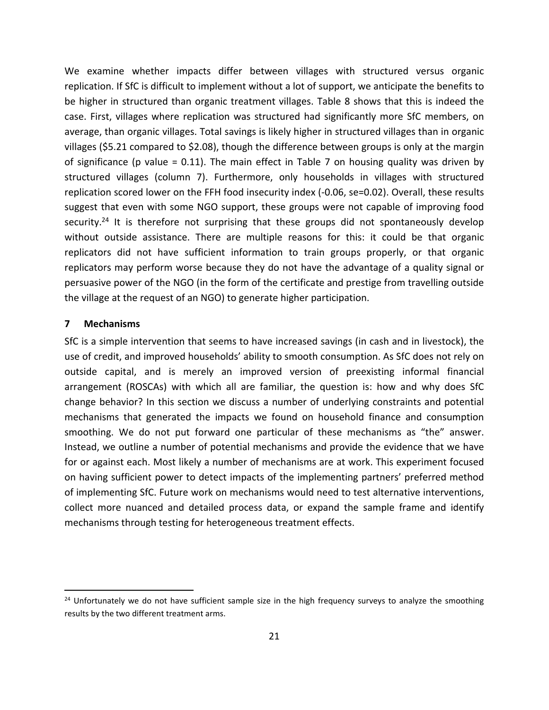We examine whether impacts differ between villages with structured versus organic replication. If SfC is difficult to implement without a lot of support, we anticipate the benefits to be higher in structured than organic treatment villages. Table 8 shows that this is indeed the case. First, villages where replication was structured had significantly more SfC members, on average, than organic villages. Total savings is likely higher in structured villages than in organic villages (\$5.21 compared to \$2.08), though the difference between groups is only at the margin of significance (p value = 0.11). The main effect in Table 7 on housing quality was driven by structured villages (column 7). Furthermore, only households in villages with structured replication scored lower on the FFH food insecurity index (‐0.06, se=0.02). Overall, these results suggest that even with some NGO support, these groups were not capable of improving food security.<sup>24</sup> It is therefore not surprising that these groups did not spontaneously develop without outside assistance. There are multiple reasons for this: it could be that organic replicators did not have sufficient information to train groups properly, or that organic replicators may perform worse because they do not have the advantage of a quality signal or persuasive power of the NGO (in the form of the certificate and prestige from travelling outside the village at the request of an NGO) to generate higher participation.

### **7 Mechanisms**

SfC is a simple intervention that seems to have increased savings (in cash and in livestock), the use of credit, and improved households' ability to smooth consumption. As SfC does not rely on outside capital, and is merely an improved version of preexisting informal financial arrangement (ROSCAs) with which all are familiar, the question is: how and why does SfC change behavior? In this section we discuss a number of underlying constraints and potential mechanisms that generated the impacts we found on household finance and consumption smoothing. We do not put forward one particular of these mechanisms as "the" answer. Instead, we outline a number of potential mechanisms and provide the evidence that we have for or against each. Most likely a number of mechanisms are at work. This experiment focused on having sufficient power to detect impacts of the implementing partners' preferred method of implementing SfC. Future work on mechanisms would need to test alternative interventions, collect more nuanced and detailed process data, or expand the sample frame and identify mechanisms through testing for heterogeneous treatment effects.

<sup>&</sup>lt;sup>24</sup> Unfortunately we do not have sufficient sample size in the high frequency surveys to analyze the smoothing results by the two different treatment arms.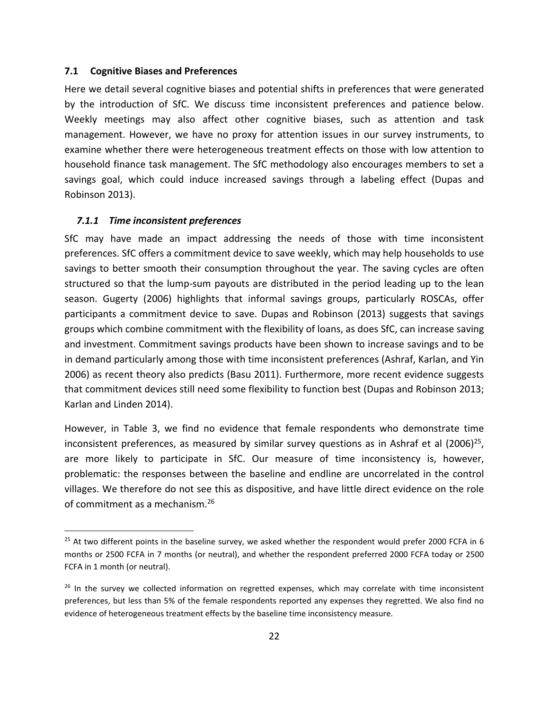### **7.1 Cognitive Biases and Preferences**

Here we detail several cognitive biases and potential shifts in preferences that were generated by the introduction of SfC. We discuss time inconsistent preferences and patience below. Weekly meetings may also affect other cognitive biases, such as attention and task management. However, we have no proxy for attention issues in our survey instruments, to examine whether there were heterogeneous treatment effects on those with low attention to household finance task management. The SfC methodology also encourages members to set a savings goal, which could induce increased savings through a labeling effect (Dupas and Robinson 2013).

### *7.1.1 Time inconsistent preferences*

SfC may have made an impact addressing the needs of those with time inconsistent preferences. SfC offers a commitment device to save weekly, which may help households to use savings to better smooth their consumption throughout the year. The saving cycles are often structured so that the lump‐sum payouts are distributed in the period leading up to the lean season. Gugerty (2006) highlights that informal savings groups, particularly ROSCAs, offer participants a commitment device to save. Dupas and Robinson (2013) suggests that savings groups which combine commitment with the flexibility of loans, as does SfC, can increase saving and investment. Commitment savings products have been shown to increase savings and to be in demand particularly among those with time inconsistent preferences (Ashraf, Karlan, and Yin 2006) as recent theory also predicts (Basu 2011). Furthermore, more recent evidence suggests that commitment devices still need some flexibility to function best (Dupas and Robinson 2013; Karlan and Linden 2014).

However, in Table 3, we find no evidence that female respondents who demonstrate time inconsistent preferences, as measured by similar survey questions as in Ashraf et al  $(2006)^{25}$ , are more likely to participate in SfC. Our measure of time inconsistency is, however, problematic: the responses between the baseline and endline are uncorrelated in the control villages. We therefore do not see this as dispositive, and have little direct evidence on the role of commitment as a mechanism.26

 $25$  At two different points in the baseline survey, we asked whether the respondent would prefer 2000 FCFA in 6 months or 2500 FCFA in 7 months (or neutral), and whether the respondent preferred 2000 FCFA today or 2500 FCFA in 1 month (or neutral).

 $26$  In the survey we collected information on regretted expenses, which may correlate with time inconsistent preferences, but less than 5% of the female respondents reported any expenses they regretted. We also find no evidence of heterogeneous treatment effects by the baseline time inconsistency measure.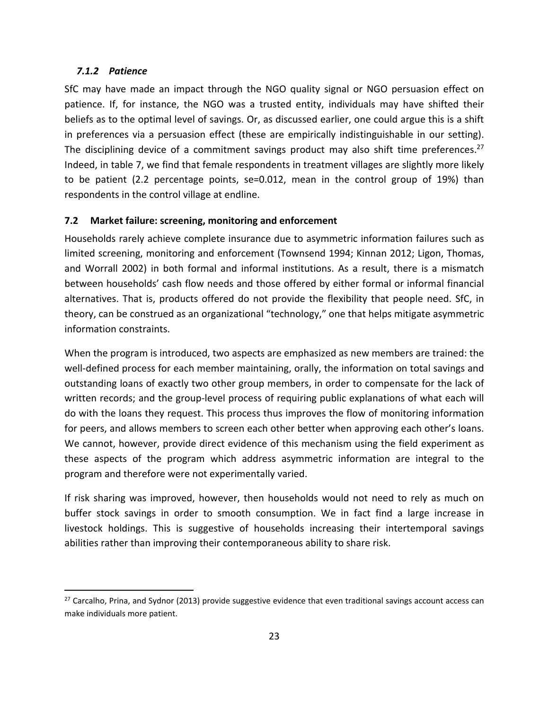# *7.1.2 Patience*

SfC may have made an impact through the NGO quality signal or NGO persuasion effect on patience. If, for instance, the NGO was a trusted entity, individuals may have shifted their beliefs as to the optimal level of savings. Or, as discussed earlier, one could argue this is a shift in preferences via a persuasion effect (these are empirically indistinguishable in our setting). The disciplining device of a commitment savings product may also shift time preferences.<sup>27</sup> Indeed, in table 7, we find that female respondents in treatment villages are slightly more likely to be patient (2.2 percentage points, se=0.012, mean in the control group of 19%) than respondents in the control village at endline.

# **7.2 Market failure: screening, monitoring and enforcement**

Households rarely achieve complete insurance due to asymmetric information failures such as limited screening, monitoring and enforcement (Townsend 1994; Kinnan 2012; Ligon, Thomas, and Worrall 2002) in both formal and informal institutions. As a result, there is a mismatch between households' cash flow needs and those offered by either formal or informal financial alternatives. That is, products offered do not provide the flexibility that people need. SfC, in theory, can be construed as an organizational "technology," one that helps mitigate asymmetric information constraints.

When the program is introduced, two aspects are emphasized as new members are trained: the well-defined process for each member maintaining, orally, the information on total savings and outstanding loans of exactly two other group members, in order to compensate for the lack of written records; and the group-level process of requiring public explanations of what each will do with the loans they request. This process thus improves the flow of monitoring information for peers, and allows members to screen each other better when approving each other's loans. We cannot, however, provide direct evidence of this mechanism using the field experiment as these aspects of the program which address asymmetric information are integral to the program and therefore were not experimentally varied.

If risk sharing was improved, however, then households would not need to rely as much on buffer stock savings in order to smooth consumption. We in fact find a large increase in livestock holdings. This is suggestive of households increasing their intertemporal savings abilities rather than improving their contemporaneous ability to share risk.

<sup>&</sup>lt;sup>27</sup> Carcalho, Prina, and Sydnor (2013) provide suggestive evidence that even traditional savings account access can make individuals more patient.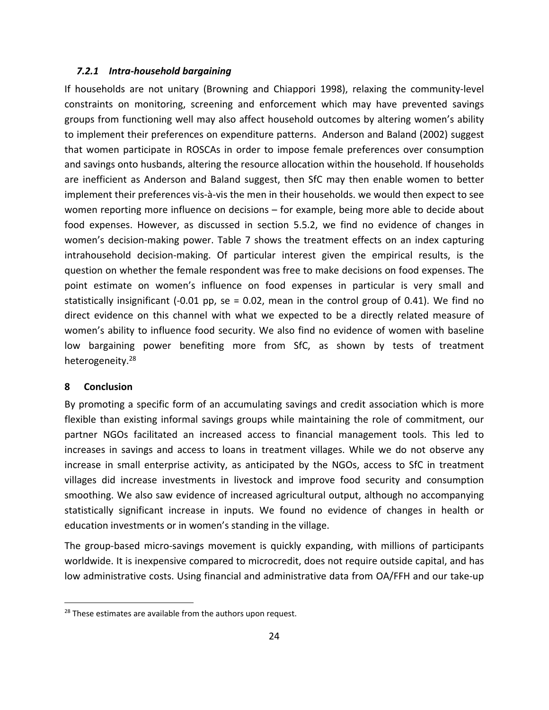### *7.2.1 Intra‐household bargaining*

If households are not unitary (Browning and Chiappori 1998), relaxing the community‐level constraints on monitoring, screening and enforcement which may have prevented savings groups from functioning well may also affect household outcomes by altering women's ability to implement their preferences on expenditure patterns. Anderson and Baland (2002) suggest that women participate in ROSCAs in order to impose female preferences over consumption and savings onto husbands, altering the resource allocation within the household. If households are inefficient as Anderson and Baland suggest, then SfC may then enable women to better implement their preferences vis‐à‐vis the men in their households. we would then expect to see women reporting more influence on decisions – for example, being more able to decide about food expenses. However, as discussed in section 5.5.2, we find no evidence of changes in women's decision-making power. Table 7 shows the treatment effects on an index capturing intrahousehold decision‐making. Of particular interest given the empirical results, is the question on whether the female respondent was free to make decisions on food expenses. The point estimate on women's influence on food expenses in particular is very small and statistically insignificant (‐0.01 pp, se = 0.02, mean in the control group of 0.41). We find no direct evidence on this channel with what we expected to be a directly related measure of women's ability to influence food security. We also find no evidence of women with baseline low bargaining power benefiting more from SfC, as shown by tests of treatment heterogeneity.<sup>28</sup>

# **8 Conclusion**

By promoting a specific form of an accumulating savings and credit association which is more flexible than existing informal savings groups while maintaining the role of commitment, our partner NGOs facilitated an increased access to financial management tools. This led to increases in savings and access to loans in treatment villages. While we do not observe any increase in small enterprise activity, as anticipated by the NGOs, access to SfC in treatment villages did increase investments in livestock and improve food security and consumption smoothing. We also saw evidence of increased agricultural output, although no accompanying statistically significant increase in inputs. We found no evidence of changes in health or education investments or in women's standing in the village.

The group-based micro-savings movement is quickly expanding, with millions of participants worldwide. It is inexpensive compared to microcredit, does not require outside capital, and has low administrative costs. Using financial and administrative data from OA/FFH and our take‐up

 $28$  These estimates are available from the authors upon request.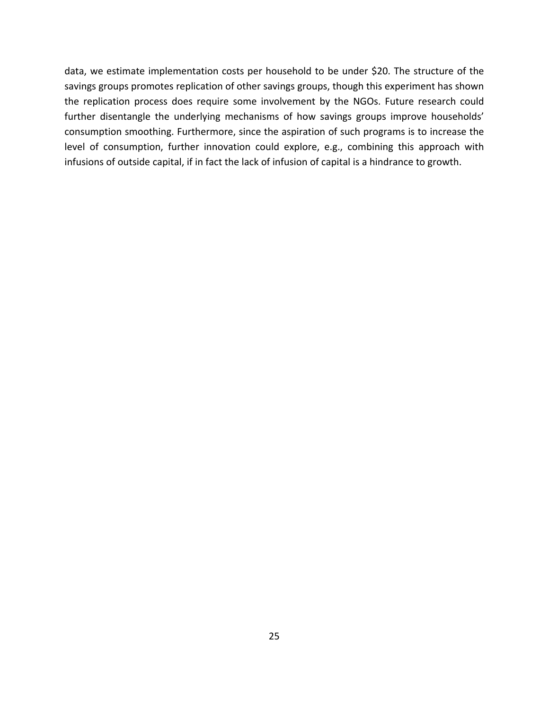data, we estimate implementation costs per household to be under \$20. The structure of the savings groups promotes replication of other savings groups, though this experiment has shown the replication process does require some involvement by the NGOs. Future research could further disentangle the underlying mechanisms of how savings groups improve households' consumption smoothing. Furthermore, since the aspiration of such programs is to increase the level of consumption, further innovation could explore, e.g., combining this approach with infusions of outside capital, if in fact the lack of infusion of capital is a hindrance to growth.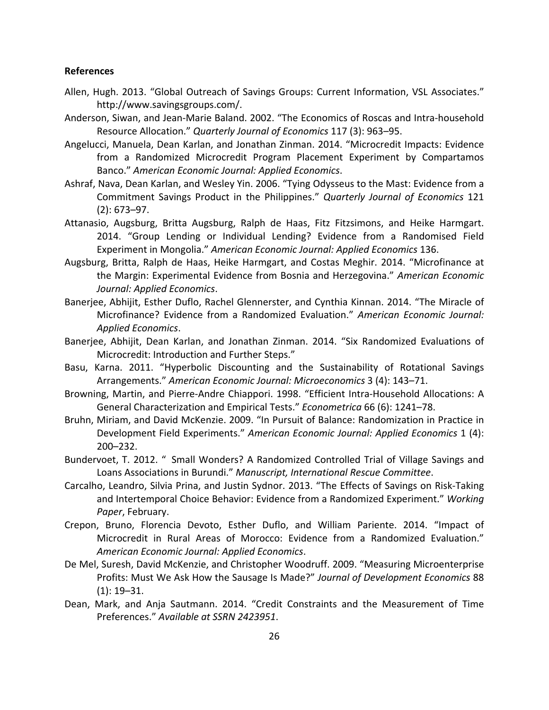### **References**

- Allen, Hugh. 2013. "Global Outreach of Savings Groups: Current Information, VSL Associates." http://www.savingsgroups.com/.
- Anderson, Siwan, and Jean‐Marie Baland. 2002. "The Economics of Roscas and Intra‐household Resource Allocation." *Quarterly Journal of Economics* 117 (3): 963–95.
- Angelucci, Manuela, Dean Karlan, and Jonathan Zinman. 2014. "Microcredit Impacts: Evidence from a Randomized Microcredit Program Placement Experiment by Compartamos Banco." *American Economic Journal: Applied Economics*.
- Ashraf, Nava, Dean Karlan, and Wesley Yin. 2006. "Tying Odysseus to the Mast: Evidence from a Commitment Savings Product in the Philippines." *Quarterly Journal of Economics* 121 (2): 673–97.
- Attanasio, Augsburg, Britta Augsburg, Ralph de Haas, Fitz Fitzsimons, and Heike Harmgart. 2014. "Group Lending or Individual Lending? Evidence from a Randomised Field Experiment in Mongolia." *American Economic Journal: Applied Economics* 136.
- Augsburg, Britta, Ralph de Haas, Heike Harmgart, and Costas Meghir. 2014. "Microfinance at the Margin: Experimental Evidence from Bosnia and Herzegovina." *American Economic Journal: Applied Economics*.
- Banerjee, Abhijit, Esther Duflo, Rachel Glennerster, and Cynthia Kinnan. 2014. "The Miracle of Microfinance? Evidence from a Randomized Evaluation." *American Economic Journal: Applied Economics*.
- Banerjee, Abhijit, Dean Karlan, and Jonathan Zinman. 2014. "Six Randomized Evaluations of Microcredit: Introduction and Further Steps."
- Basu, Karna. 2011. "Hyperbolic Discounting and the Sustainability of Rotational Savings Arrangements." *American Economic Journal: Microeconomics* 3 (4): 143–71.
- Browning, Martin, and Pierre‐Andre Chiappori. 1998. "Efficient Intra‐Household Allocations: A General Characterization and Empirical Tests." *Econometrica* 66 (6): 1241–78.
- Bruhn, Miriam, and David McKenzie. 2009. "In Pursuit of Balance: Randomization in Practice in Development Field Experiments." *American Economic Journal: Applied Economics* 1 (4): 200–232.
- Bundervoet, T. 2012. " Small Wonders? A Randomized Controlled Trial of Village Savings and Loans Associations in Burundi." *Manuscript, International Rescue Committee*.
- Carcalho, Leandro, Silvia Prina, and Justin Sydnor. 2013. "The Effects of Savings on Risk‐Taking and Intertemporal Choice Behavior: Evidence from a Randomized Experiment." *Working Paper*, February.
- Crepon, Bruno, Florencia Devoto, Esther Duflo, and William Pariente. 2014. "Impact of Microcredit in Rural Areas of Morocco: Evidence from a Randomized Evaluation." *American Economic Journal: Applied Economics*.
- De Mel, Suresh, David McKenzie, and Christopher Woodruff. 2009. "Measuring Microenterprise Profits: Must We Ask How the Sausage Is Made?" *Journal of Development Economics* 88 (1): 19–31.
- Dean, Mark, and Anja Sautmann. 2014. "Credit Constraints and the Measurement of Time Preferences." *Available at SSRN 2423951*.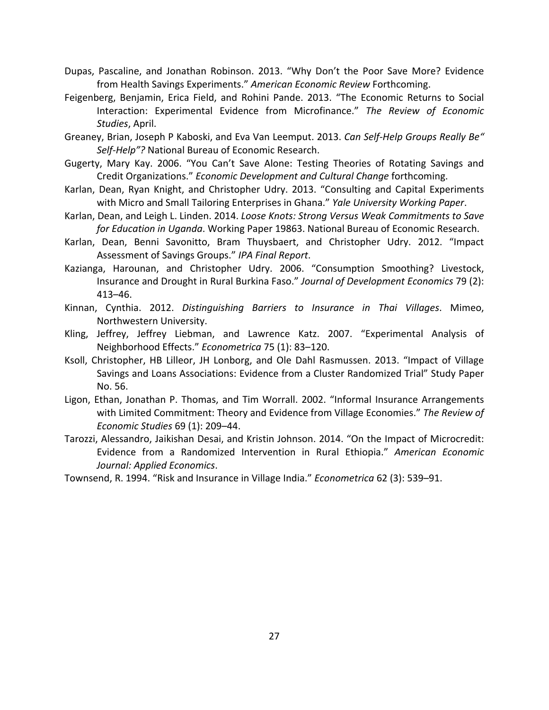- Dupas, Pascaline, and Jonathan Robinson. 2013. "Why Don't the Poor Save More? Evidence from Health Savings Experiments." *American Economic Review* Forthcoming.
- Feigenberg, Benjamin, Erica Field, and Rohini Pande. 2013. "The Economic Returns to Social Interaction: Experimental Evidence from Microfinance." *The Review of Economic Studies*, April.
- Greaney, Brian, Joseph P Kaboski, and Eva Van Leemput. 2013. *Can Self‐Help Groups Really Be" Self‐Help"?* National Bureau of Economic Research.
- Gugerty, Mary Kay. 2006. "You Can't Save Alone: Testing Theories of Rotating Savings and Credit Organizations." *Economic Development and Cultural Change* forthcoming.
- Karlan, Dean, Ryan Knight, and Christopher Udry. 2013. "Consulting and Capital Experiments with Micro and Small Tailoring Enterprises in Ghana." *Yale University Working Paper*.
- Karlan, Dean, and Leigh L. Linden. 2014. *Loose Knots: Strong Versus Weak Commitments to Save for Education in Uganda*. Working Paper 19863. National Bureau of Economic Research.
- Karlan, Dean, Benni Savonitto, Bram Thuysbaert, and Christopher Udry. 2012. "Impact Assessment of Savings Groups." *IPA Final Report*.
- Kazianga, Harounan, and Christopher Udry. 2006. "Consumption Smoothing? Livestock, Insurance and Drought in Rural Burkina Faso." *Journal of Development Economics* 79 (2): 413–46.
- Kinnan, Cynthia. 2012. *Distinguishing Barriers to Insurance in Thai Villages*. Mimeo, Northwestern University.
- Kling, Jeffrey, Jeffrey Liebman, and Lawrence Katz. 2007. "Experimental Analysis of Neighborhood Effects." *Econometrica* 75 (1): 83–120.
- Ksoll, Christopher, HB Lilleor, JH Lonborg, and Ole Dahl Rasmussen. 2013. "Impact of Village Savings and Loans Associations: Evidence from a Cluster Randomized Trial" Study Paper No. 56.
- Ligon, Ethan, Jonathan P. Thomas, and Tim Worrall. 2002. "Informal Insurance Arrangements with Limited Commitment: Theory and Evidence from Village Economies." *The Review of Economic Studies* 69 (1): 209–44.
- Tarozzi, Alessandro, Jaikishan Desai, and Kristin Johnson. 2014. "On the Impact of Microcredit: Evidence from a Randomized Intervention in Rural Ethiopia." *American Economic Journal: Applied Economics*.

Townsend, R. 1994. "Risk and Insurance in Village India." *Econometrica* 62 (3): 539–91.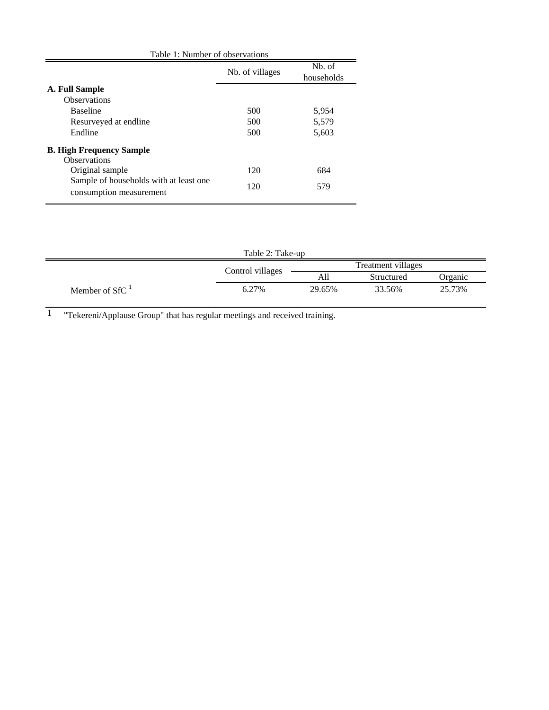| Nb. of villages | N <sub>b</sub> . of<br>households |
|-----------------|-----------------------------------|
|                 |                                   |
|                 |                                   |
| 500             | 5,954                             |
| 500             | 5,579                             |
| 500             | 5,603                             |
|                 |                                   |
|                 |                                   |
| 120             | 684                               |
| 120             | 579                               |
|                 | Table 1: Number of observations   |

| Table 2: Take-up |                  |        |                    |         |  |  |
|------------------|------------------|--------|--------------------|---------|--|--|
|                  | Control villages |        | Treatment villages |         |  |  |
|                  |                  | All    | Structured         | Organic |  |  |
| Member of $SfC1$ | 6.27%            | 29.65% | 33.56%             | 25.73%  |  |  |

1 "Tekereni/Applause Group" that has regular meetings and received training.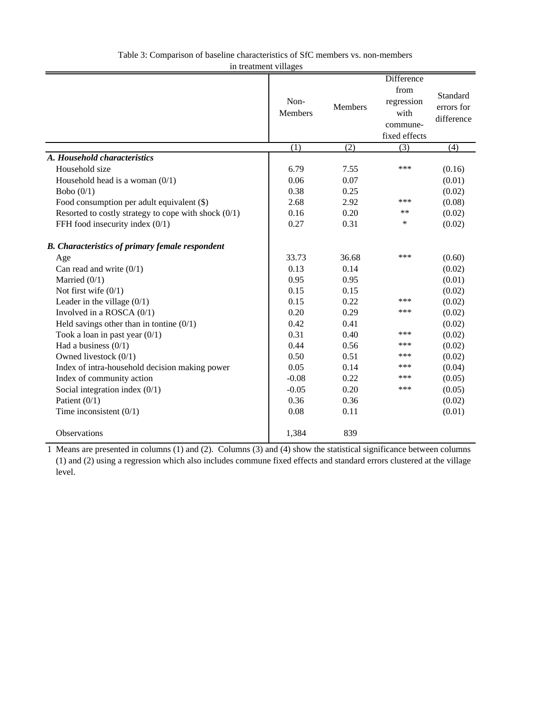| In troutment vinages                                   |                        |         | Difference                                              |                                      |
|--------------------------------------------------------|------------------------|---------|---------------------------------------------------------|--------------------------------------|
|                                                        | Non-<br><b>Members</b> | Members | from<br>regression<br>with<br>commune-<br>fixed effects | Standard<br>errors for<br>difference |
|                                                        | $\overline{(1)}$       | (2)     | $\overline{(3)}$                                        | (4)                                  |
| A. Household characteristics                           |                        |         |                                                         |                                      |
| Household size                                         | 6.79                   | 7.55    | ***                                                     | (0.16)                               |
| Household head is a woman $(0/1)$                      | 0.06                   | 0.07    |                                                         | (0.01)                               |
| Bobo $(0/1)$                                           | 0.38                   | 0.25    |                                                         | (0.02)                               |
| Food consumption per adult equivalent (\$)             | 2.68                   | 2.92    | ***                                                     | (0.08)                               |
| Resorted to costly strategy to cope with shock $(0/1)$ | 0.16                   | 0.20    | $***$                                                   | (0.02)                               |
| FFH food insecurity index $(0/1)$                      | 0.27                   | 0.31    | $\ast$                                                  | (0.02)                               |
| <b>B.</b> Characteristics of primary female respondent |                        |         |                                                         |                                      |
| Age                                                    | 33.73                  | 36.68   | ***                                                     | (0.60)                               |
| Can read and write $(0/1)$                             | 0.13                   | 0.14    |                                                         | (0.02)                               |
| Married $(0/1)$                                        | 0.95                   | 0.95    |                                                         | (0.01)                               |
| Not first wife $(0/1)$                                 | 0.15                   | 0.15    |                                                         | (0.02)                               |
| Leader in the village $(0/1)$                          | 0.15                   | 0.22    | ***                                                     | (0.02)                               |
| Involved in a ROSCA $(0/1)$                            | 0.20                   | 0.29    | ***                                                     | (0.02)                               |
| Held savings other than in tontine $(0/1)$             | 0.42                   | 0.41    |                                                         | (0.02)                               |
| Took a loan in past year $(0/1)$                       | 0.31                   | 0.40    | ***                                                     | (0.02)                               |
| Had a business $(0/1)$                                 | 0.44                   | 0.56    | ***                                                     | (0.02)                               |
| Owned livestock $(0/1)$                                | 0.50                   | 0.51    | ***                                                     | (0.02)                               |
| Index of intra-household decision making power         | 0.05                   | 0.14    | ***                                                     | (0.04)                               |
| Index of community action                              | $-0.08$                | 0.22    | ***                                                     | (0.05)                               |
| Social integration index $(0/1)$                       | $-0.05$                | 0.20    | ***                                                     | (0.05)                               |
| Patient $(0/1)$                                        | 0.36                   | 0.36    |                                                         | (0.02)                               |
| Time inconsistent $(0/1)$                              | 0.08                   | 0.11    |                                                         | (0.01)                               |
| Observations                                           | 1,384                  | 839     |                                                         |                                      |

Table 3: Comparison of baseline characteristics of SfC members vs. non-members in treatment villages

1 Means are presented in columns (1) and (2). Columns (3) and (4) show the statistical significance between columns (1) and (2) using a regression which also includes commune fixed effects and standard errors clustered at the village level.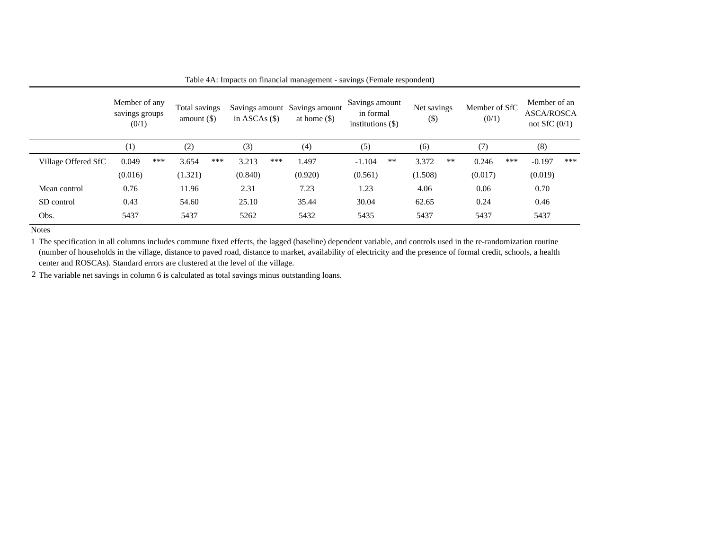|                     | Member of any<br>savings groups<br>(0/1) | Total savings<br>amount $(\$)$ | in ASCAs $($ \$) | Savings amount Savings amount<br>at home $(\$)$ | Savings amount<br>in formal<br>institutions $(\$)$ | Net savings<br>$($ \$ | Member of SfC<br>(0/1) | Member of an<br><b>ASCA/ROSCA</b><br>not SfC $(0/1)$ |
|---------------------|------------------------------------------|--------------------------------|------------------|-------------------------------------------------|----------------------------------------------------|-----------------------|------------------------|------------------------------------------------------|
|                     | (1)                                      | (2)                            | (3)              | (4)                                             | (5)                                                | (6)                   | (7)                    | (8)                                                  |
| Village Offered SfC | ***<br>0.049                             | ***<br>3.654                   | 3.213<br>***     | 1.497                                           | $-1.104$<br>$***$                                  | 3.372<br>$**$         | 0.246<br>***           | ***<br>$-0.197$                                      |
|                     | (0.016)                                  | (1.321)                        | (0.840)          | (0.920)                                         | (0.561)                                            | (1.508)               | (0.017)                | (0.019)                                              |
| Mean control        | 0.76                                     | 11.96                          | 2.31             | 7.23                                            | 1.23                                               | 4.06                  | 0.06                   | 0.70                                                 |
| SD control          | 0.43                                     | 54.60                          | 25.10            | 35.44                                           | 30.04                                              | 62.65                 | 0.24                   | 0.46                                                 |
| Obs.                | 5437                                     | 5437                           | 5262             | 5432                                            | 5435                                               | 5437                  | 5437                   | 5437                                                 |

Table 4A: Impacts on financial management - savings (Female respondent)

1 The specification in all columns includes commune fixed effects, the lagged (baseline) dependent variable, and controls used in the re-randomization routine (number of households in the village, distance to paved road, distance to market, availability of electricity and the presence of formal credit, schools, a health center and ROSCAs). Standard errors are clustered at the level of the village.

2 The variable net savings in column 6 is calculated as total savings minus outstanding loans.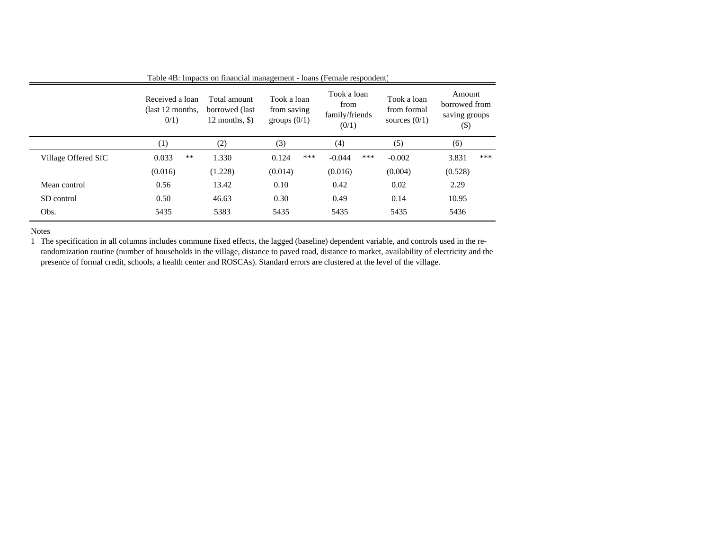|                     | Received a loan<br>(last 12 months.)<br>0/1) | Total amount<br>borrowed (last)<br>12 months, $\Diamond$ ) | Took a loan<br>from saving<br>groups $(0/1)$ | Took a loan<br>from<br>family/friends<br>(0/1) | Took a loan<br>from formal<br>sources $(0/1)$ | Amount<br>borrowed from<br>saving groups<br>(\$) |
|---------------------|----------------------------------------------|------------------------------------------------------------|----------------------------------------------|------------------------------------------------|-----------------------------------------------|--------------------------------------------------|
|                     | (1)                                          | (2)                                                        | (3)                                          | (4)                                            | (5)                                           | (6)                                              |
| Village Offered SfC | $***$<br>0.033                               | 1.330                                                      | ***<br>0.124                                 | $-0.044$<br>***                                | $-0.002$                                      | ***<br>3.831                                     |
|                     | (0.016)                                      | (1.228)                                                    | (0.014)                                      | (0.016)                                        | (0.004)                                       | (0.528)                                          |
| Mean control        | 0.56                                         | 13.42                                                      | 0.10                                         | 0.42                                           | 0.02                                          | 2.29                                             |
| SD control          | 0.50                                         | 46.63                                                      | 0.30                                         | 0.49                                           | 0.14                                          | 10.95                                            |
| Obs.                | 5435                                         | 5383                                                       | 5435                                         | 5435                                           | 5435                                          | 5436                                             |

1 The specification in all columns includes commune fixed effects, the lagged (baseline) dependent variable, and controls used in the rerandomization routine (number of households in the village, distance to paved road, distance to market, availability of electricity and the presence of formal credit, schools, a health center and ROSCAs). Standard errors are clustered at the level of the village.

#### Table 4B: Impacts on financial management - loans (Female respondent)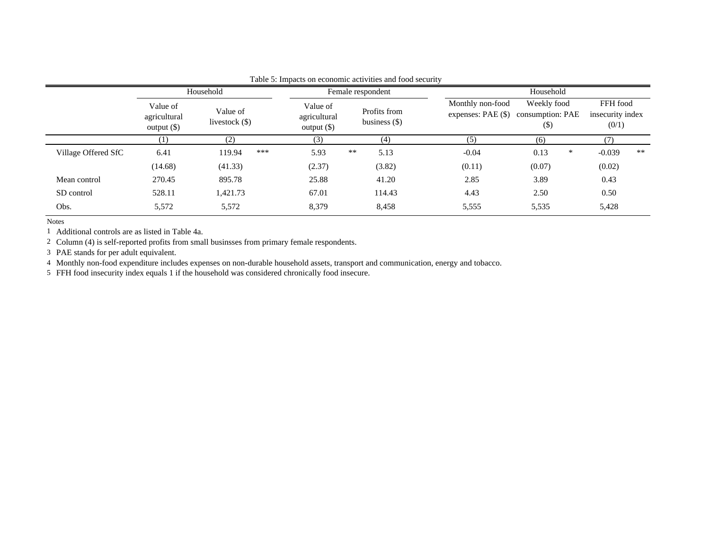|                     |                                           | Household<br>Female respondent |                                           |                                 | Household                                |                                         |                                       |  |  |  |  |
|---------------------|-------------------------------------------|--------------------------------|-------------------------------------------|---------------------------------|------------------------------------------|-----------------------------------------|---------------------------------------|--|--|--|--|
|                     | Value of<br>agricultural<br>$output$ (\$) | Value of<br>livestock $(\$)$   | Value of<br>agricultural<br>$output$ (\$) | Profits from<br>business $(\$)$ | Monthly non-food<br>expenses: $PAE$ (\$) | Weekly food<br>consumption: PAE<br>(\$) | FFH food<br>insecurity index<br>(0/1) |  |  |  |  |
|                     | $\left(1\right)$                          | (2)                            | (3)                                       | (4)                             | (5)                                      | (6)                                     | (7)                                   |  |  |  |  |
| Village Offered SfC | 6.41                                      | ***<br>119.94                  | 5.93                                      | **<br>5.13                      | $-0.04$                                  | 0.13<br>∗                               | **<br>$-0.039$                        |  |  |  |  |
|                     | (14.68)                                   | (41.33)                        | (2.37)                                    | (3.82)                          | (0.11)                                   | (0.07)                                  | (0.02)                                |  |  |  |  |
| Mean control        | 270.45                                    | 895.78                         | 25.88                                     | 41.20                           | 2.85                                     | 3.89                                    | 0.43                                  |  |  |  |  |
| SD control          | 528.11                                    | 1,421.73                       | 67.01                                     | 114.43                          | 4.43                                     | 2.50                                    | 0.50                                  |  |  |  |  |
| Obs.                | 5,572                                     | 5,572                          | 8,379                                     | 8,458                           | 5,555                                    | 5,535                                   | 5,428                                 |  |  |  |  |

## Table 5: Impacts on economic activities and food security

**Notes** 

1 Additional controls are as listed in Table 4a.

2 Column (4) is self-reported profits from small businsses from primary female respondents.

PAE stands for per adult equivalent.

3 4 Monthly non-food expenditure includes expenses on non-durable household assets, transport and communication, energy and tobacco.

5 FFH food insecurity index equals 1 if the household was considered chronically food insecure.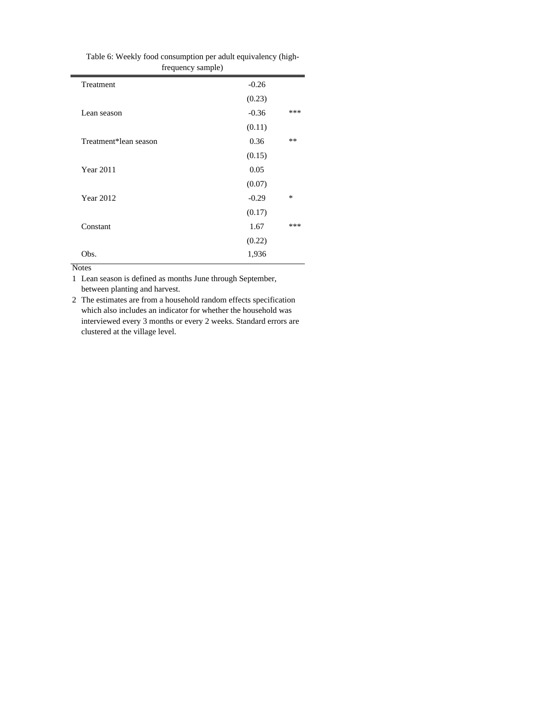| frequency sample)     |         |     |
|-----------------------|---------|-----|
| Treatment             | $-0.26$ |     |
|                       | (0.23)  |     |
| Lean season           | $-0.36$ | *** |
|                       | (0.11)  |     |
| Treatment*lean season | 0.36    | **  |
|                       | (0.15)  |     |
| <b>Year 2011</b>      | 0.05    |     |
|                       | (0.07)  |     |
| <b>Year 2012</b>      | $-0.29$ | *   |
|                       | (0.17)  |     |
| Constant              | 1.67    | *** |
|                       | (0.22)  |     |
| Obs.                  | 1,936   |     |

| Table 6: Weekly food consumption per adult equivalency (high- |                   |  |
|---------------------------------------------------------------|-------------------|--|
|                                                               | frequency sample) |  |

1 Lean season is defined as months June through September, between planting and harvest.

2 The estimates are from a household random effects specification which also includes an indicator for whether the household was interviewed every 3 months or every 2 weeks. Standard errors are clustered at the village level.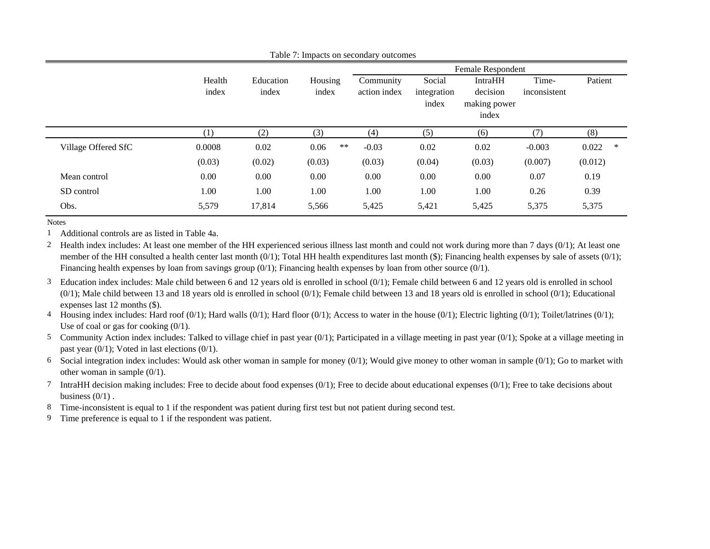|                     |                 |                    |                  |                           |                       | Female Respondent          |                       |            |
|---------------------|-----------------|--------------------|------------------|---------------------------|-----------------------|----------------------------|-----------------------|------------|
|                     | Health<br>index | Education<br>index | Housing<br>index | Community<br>action index | Social<br>integration | <b>IntraHH</b><br>decision | Time-<br>inconsistent | Patient    |
|                     |                 |                    |                  |                           | index                 | making power<br>index      |                       |            |
|                     | (1)             | (2)                | (3)              | (4)                       | (5)                   | (6)                        | (7)                   | (8)        |
| Village Offered SfC | 0.0008          | 0.02               | $***$<br>0.06    | $-0.03$                   | 0.02                  | 0.02                       | $-0.003$              | 0.022<br>∗ |
|                     | (0.03)          | (0.02)             | (0.03)           | (0.03)                    | (0.04)                | (0.03)                     | (0.007)               | (0.012)    |
| Mean control        | 0.00            | 0.00               | 0.00             | 0.00                      | 0.00                  | 0.00                       | 0.07                  | 0.19       |
| SD control          | 1.00            | 1.00               | 1.00             | 1.00                      | 1.00                  | 1.00                       | 0.26                  | 0.39       |
| Obs.                | 5,579           | 17,814             | 5,566            | 5,425                     | 5,421                 | 5,425                      | 5,375                 | 5,375      |

Table 7: Impacts on secondary outcomes

Notes

1 Additional controls are as listed in Table 4a.

2 Health index includes: At least one member of the HH experienced serious illness last month and could not work during more than 7 days (0/1); At least one member of the HH consulted a health center last month  $(0/1)$ ; Total HH health expenditures last month (\$); Financing health expenses by sale of assets  $(0/1)$ ; Financing health expenses by loan from savings group  $(0/1)$ ; Financing health expenses by loan from other source  $(0/1)$ .

3 Education index includes: Male child between 6 and 12 years old is enrolled in school (0/1); Female child between 6 and 12 years old is enrolled in school  $(0/1)$ ; Male child between 13 and 18 years old is enrolled in school  $(0/1)$ ; Female child between 13 and 18 years old is enrolled in school  $(0/1)$ ; Educational ex penses last 12 months (\$).

4 Housing index includes: Hard roof  $(0/1)$ ; Hard walls  $(0/1)$ ; Hard floor  $(0/1)$ ; Access to water in the house  $(0/1)$ ; Electric lighting  $(0/1)$ ; Toilet/latrines  $(0/1)$ ; Use of coal or gas for cooking  $(0/1)$ .

5 Community Action index includes: Talked to village chief in past year (0/1); Participated in a village meeting in past year (0/1); Spoke at a village meeting in past year (0/1); Voted in last elections (0/1).

6 Social integration index includes: Would ask other woman in sample for money (0/1); Would give money to other woman in sample (0/1); Go to market with other woman in sample (0/1).

7 IntraHH decision making includes: Free to decide about food expenses (0/1); Free to decide about educational expenses (0/1); Free to take decisions about business  $(0/1)$ .

8 Time-inconsistent is equal to 1 if the respondent was patient during first test but not patient during second test.

9 Time preference is equal to 1 if the respondent was patient.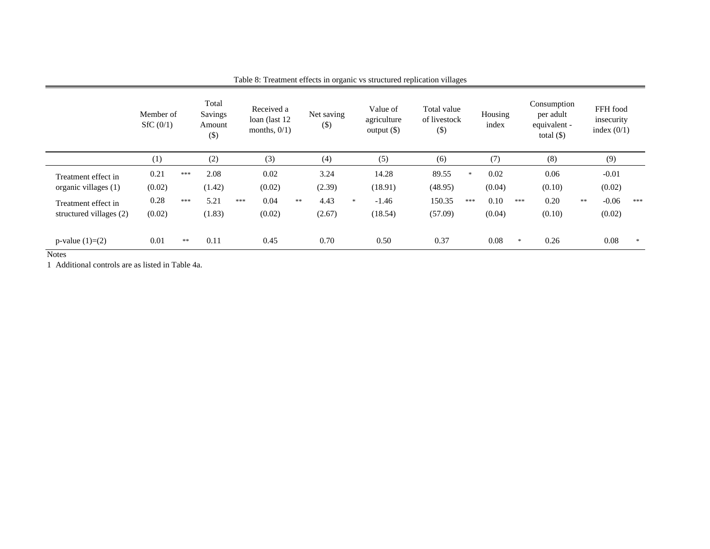|                                   | Member of<br>SfC(0/1) |            | Total<br>Savings<br>Amount<br>$(\$)$ |     | Received a<br>loan (last 12)<br>months, $0/1$ ) |            | Net saving<br>$\left( \mathcal{S} \right)$ |        | Value of<br>agriculture<br>output $(\$)$ | Total value<br>of livestock<br>$(\$)$ |     | Housing<br>index |        | Consumption<br>per adult<br>equivalent -<br>total $(\$)$ |    | FFH food<br>insecurity<br>index $(0/1)$ |     |
|-----------------------------------|-----------------------|------------|--------------------------------------|-----|-------------------------------------------------|------------|--------------------------------------------|--------|------------------------------------------|---------------------------------------|-----|------------------|--------|----------------------------------------------------------|----|-----------------------------------------|-----|
|                                   | (1)                   |            | (2)                                  |     | (3)                                             |            | (4)                                        |        | (5)                                      | (6)                                   |     | (7)              |        | (8)                                                      |    | (9)                                     |     |
| Treatment effect in               | 0.21                  | $***$      | 2.08                                 |     | 0.02                                            |            | 3.24                                       |        | 14.28                                    | 89.55                                 | 冰   | 0.02             |        | 0.06                                                     |    | $-0.01$                                 |     |
| organic villages (1)              | (0.02)                |            | (1.42)                               |     | (0.02)                                          |            | (2.39)                                     |        | (18.91)                                  | (48.95)                               |     | (0.04)           |        | (0.10)                                                   |    | (0.02)                                  |     |
| Treatment effect in               | 0.28                  | $***$      | 5.21                                 | *** | 0.04                                            | $\ast\ast$ | 4.43                                       | $\ast$ | $-1.46$                                  | 150.35                                | *** | 0.10             | ***    | 0.20                                                     | ** | $-0.06$                                 | *** |
| structured villages (2)           | (0.02)                |            | (1.83)                               |     | (0.02)                                          |            | (2.67)                                     |        | (18.54)                                  | (57.09)                               |     | (0.04)           |        | (0.10)                                                   |    | (0.02)                                  |     |
| p-value $(1)=(2)$<br>$\mathbf{v}$ | 0.01                  | $\ast\ast$ | 0.11                                 |     | 0.45                                            |            | 0.70                                       |        | 0.50                                     | 0.37                                  |     | 0.08             | $\ast$ | 0.26                                                     |    | 0.08                                    |     |

Table 8: Treatment effects in organic vs structured replication villages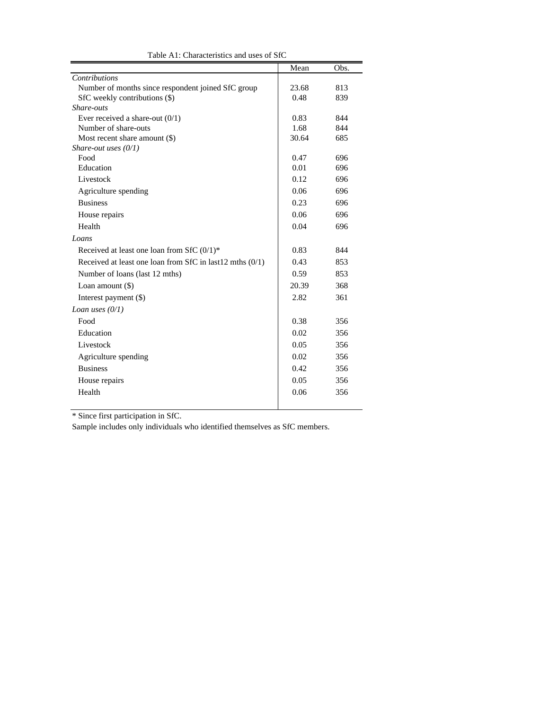|                                                          | Mean  | Obs. |
|----------------------------------------------------------|-------|------|
| Contributions                                            |       |      |
| Number of months since respondent joined SfC group       | 23.68 | 813  |
| SfC weekly contributions (\$)                            | 0.48  | 839  |
| Share-outs                                               |       |      |
| Ever received a share-out $(0/1)$                        | 0.83  | 844  |
| Number of share-outs                                     | 1.68  | 844  |
| Most recent share amount $(\$)$                          | 30.64 | 685  |
| Share-out uses $(0/1)$                                   |       |      |
| Food                                                     | 0.47  | 696  |
| Education                                                | 0.01  | 696  |
| Livestock                                                | 0.12  | 696  |
| Agriculture spending                                     | 0.06  | 696  |
| <b>Business</b>                                          | 0.23  | 696  |
| House repairs                                            | 0.06  | 696  |
| Health                                                   | 0.04  | 696  |
| Loans                                                    |       |      |
| Received at least one loan from SfC $(0/1)$ <sup>*</sup> | 0.83  | 844  |
| Received at least one loan from SfC in last12 mths (0/1) | 0.43  | 853  |
| Number of loans (last 12 mths)                           | 0.59  | 853  |
| Loan amount $(\$)$                                       | 20.39 | 368  |
| Interest payment (\$)                                    | 2.82  | 361  |
| Loan uses $(0/1)$                                        |       |      |
| Food                                                     | 0.38  | 356  |
| Education                                                | 0.02  | 356  |
| Livestock                                                | 0.05  | 356  |
| Agriculture spending                                     | 0.02  | 356  |
| <b>Business</b>                                          | 0.42  | 356  |
| House repairs                                            | 0.05  | 356  |
| Health                                                   | 0.06  | 356  |
|                                                          |       |      |

Table A1: Characteristics and uses of SfC

\* Since first participation in SfC.

Sample includes only individuals who identified themselves as SfC members.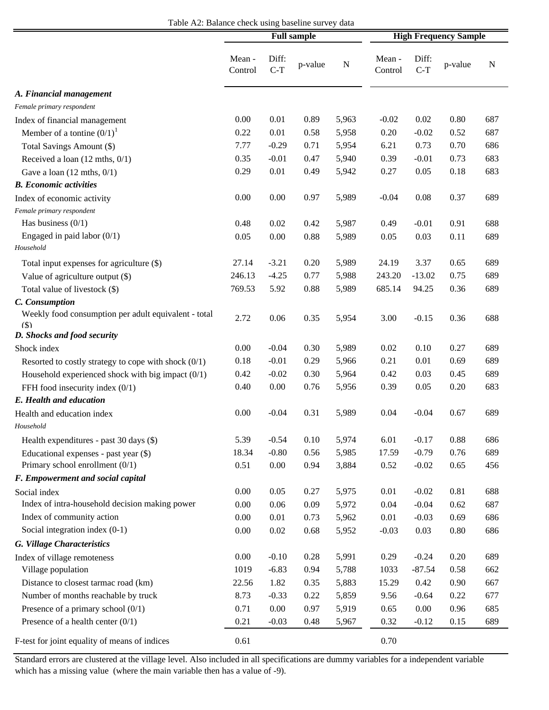| Table A2: Balance check using baseline survey data |  |  |
|----------------------------------------------------|--|--|
|----------------------------------------------------|--|--|

|                                                        | <b>Full sample</b> |                |         |           | <b>High Frequency Sample</b> |                |         |     |
|--------------------------------------------------------|--------------------|----------------|---------|-----------|------------------------------|----------------|---------|-----|
|                                                        | Mean -<br>Control  | Diff:<br>$C-T$ | p-value | ${\bf N}$ | Mean -<br>Control            | Diff:<br>$C-T$ | p-value | N   |
| A. Financial management                                |                    |                |         |           |                              |                |         |     |
| Female primary respondent                              |                    |                |         |           |                              |                |         |     |
| Index of financial management                          | 0.00               | 0.01           | 0.89    | 5,963     | $-0.02$                      | 0.02           | 0.80    | 687 |
| Member of a tontine $(0/1)^1$                          | 0.22               | 0.01           | 0.58    | 5,958     | 0.20                         | $-0.02$        | 0.52    | 687 |
| Total Savings Amount (\$)                              | 7.77               | $-0.29$        | 0.71    | 5,954     | 6.21                         | 0.73           | 0.70    | 686 |
| Received a loan (12 mths, 0/1)                         | 0.35               | $-0.01$        | 0.47    | 5,940     | 0.39                         | $-0.01$        | 0.73    | 683 |
| Gave a loan $(12 \text{ mths}, 0/1)$                   | 0.29               | 0.01           | 0.49    | 5,942     | 0.27                         | 0.05           | 0.18    | 683 |
| <b>B.</b> Economic activities                          |                    |                |         |           |                              |                |         |     |
| Index of economic activity                             | 0.00               | 0.00           | 0.97    | 5,989     | $-0.04$                      | 0.08           | 0.37    | 689 |
| Female primary respondent                              |                    |                |         |           |                              |                |         |     |
| Has business $(0/1)$                                   | 0.48               | 0.02           | 0.42    | 5,987     | 0.49                         | $-0.01$        | 0.91    | 688 |
| Engaged in paid labor $(0/1)$                          | 0.05               | 0.00           | 0.88    | 5,989     | 0.05                         | 0.03           | 0.11    | 689 |
| Household                                              |                    |                |         |           |                              |                |         |     |
| Total input expenses for agriculture (\$)              | 27.14              | $-3.21$        | 0.20    | 5,989     | 24.19                        | 3.37           | 0.65    | 689 |
| Value of agriculture output (\$)                       | 246.13             | $-4.25$        | 0.77    | 5,988     | 243.20                       | $-13.02$       | 0.75    | 689 |
| Total value of livestock (\$)                          | 769.53             | 5.92           | 0.88    | 5,989     | 685.14                       | 94.25          | 0.36    | 689 |
| C. Consumption                                         |                    |                |         |           |                              |                |         |     |
| Weekly food consumption per adult equivalent - total   | 2.72               | 0.06           | 0.35    | 5,954     | 3.00                         | $-0.15$        | 0.36    | 688 |
| (S)                                                    |                    |                |         |           |                              |                |         |     |
| D. Shocks and food security                            |                    |                |         |           |                              |                |         |     |
| Shock index                                            | 0.00               | $-0.04$        | 0.30    | 5,989     | 0.02                         | 0.10           | 0.27    | 689 |
| Resorted to costly strategy to cope with shock $(0/1)$ | 0.18               | $-0.01$        | 0.29    | 5,966     | 0.21                         | 0.01           | 0.69    | 689 |
| Household experienced shock with big impact $(0/1)$    | 0.42               | $-0.02$        | 0.30    | 5,964     | 0.42                         | 0.03           | 0.45    | 689 |
| FFH food insecurity index (0/1)                        | 0.40               | 0.00           | 0.76    | 5,956     | 0.39                         | 0.05           | 0.20    | 683 |
| E. Health and education                                |                    |                |         |           |                              |                |         |     |
| Health and education index                             | 0.00               | $-0.04$        | 0.31    | 5,989     | 0.04                         | $-0.04$        | 0.67    | 689 |
| Household                                              |                    |                |         |           |                              |                |         |     |
| Health expenditures - past 30 days (\$)                | 5.39               | $-0.54$        | 0.10    | 5,974     | 6.01                         | $-0.17$        | 0.88    | 686 |
| Educational expenses - past year (\$)                  | 18.34              | $-0.80$        | 0.56    | 5,985     | 17.59                        | $-0.79$        | 0.76    | 689 |
| Primary school enrollment (0/1)                        | 0.51               | 0.00           | 0.94    | 3,884     | 0.52                         | $-0.02$        | 0.65    | 456 |
| F. Empowerment and social capital                      |                    |                |         |           |                              |                |         |     |
| Social index                                           | 0.00               | 0.05           | 0.27    | 5,975     | 0.01                         | $-0.02$        | 0.81    | 688 |
| Index of intra-household decision making power         | 0.00               | 0.06           | 0.09    | 5,972     | 0.04                         | $-0.04$        | 0.62    | 687 |
| Index of community action                              | 0.00               | 0.01           | 0.73    | 5,962     | 0.01                         | $-0.03$        | 0.69    | 686 |
| Social integration index (0-1)                         | 0.00               | 0.02           | 0.68    | 5,952     | $-0.03$                      | 0.03           | 0.80    | 686 |
| G. Village Characteristics                             |                    |                |         |           |                              |                |         |     |
| Index of village remoteness                            | 0.00               | $-0.10$        | 0.28    | 5,991     | 0.29                         | $-0.24$        | 0.20    | 689 |
| Village population                                     | 1019               | $-6.83$        | 0.94    | 5,788     | 1033                         | $-87.54$       | 0.58    | 662 |
| Distance to closest tarmac road (km)                   | 22.56              | 1.82           | 0.35    | 5,883     | 15.29                        | 0.42           | 0.90    | 667 |
| Number of months reachable by truck                    | 8.73               | $-0.33$        | 0.22    | 5,859     | 9.56                         | $-0.64$        | 0.22    | 677 |
| Presence of a primary school $(0/1)$                   | 0.71               | 0.00           | 0.97    | 5,919     | 0.65                         | 0.00           | 0.96    | 685 |
| Presence of a health center $(0/1)$                    | 0.21               | $-0.03$        | 0.48    | 5,967     | 0.32                         | $-0.12$        | 0.15    | 689 |
|                                                        |                    |                |         |           |                              |                |         |     |
| F-test for joint equality of means of indices          | 0.61               |                |         |           | 0.70                         |                |         |     |

Standard errors are clustered at the village level. Also included in all specifications are dummy variables for a independent variable which has a missing value (where the main variable then has a value of -9).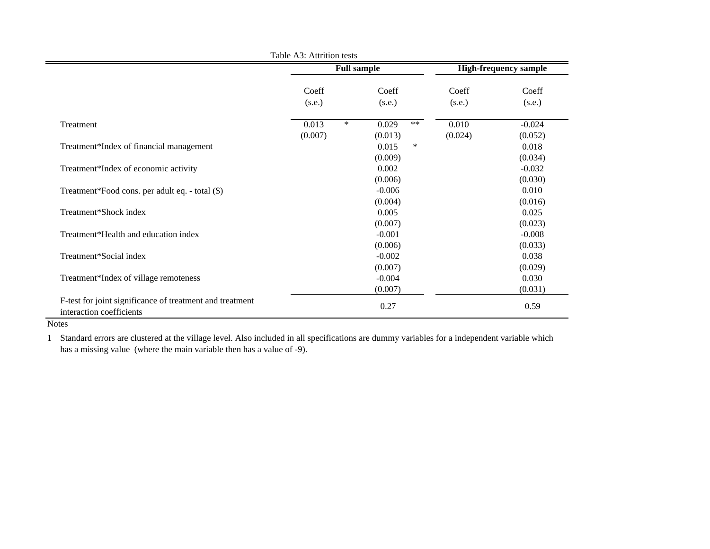|                                                                                      |                 | <b>Full sample</b>  |         | <b>High-frequency sample</b> |
|--------------------------------------------------------------------------------------|-----------------|---------------------|---------|------------------------------|
|                                                                                      | Coeff           | Coeff               | Coeff   | Coeff                        |
|                                                                                      | (s.e.)          | (s.e.)              | (s.e.)  | (s.e.)                       |
| Treatment                                                                            | $\ast$<br>0.013 | $\ast\ast$<br>0.029 | 0.010   | $-0.024$                     |
|                                                                                      | (0.007)         | (0.013)             | (0.024) | (0.052)                      |
| Treatment*Index of financial management                                              |                 | 0.015<br>$\ast$     |         | 0.018                        |
|                                                                                      |                 | (0.009)             |         | (0.034)                      |
| Treatment*Index of economic activity                                                 |                 | 0.002               |         | $-0.032$                     |
|                                                                                      |                 | (0.006)             |         | (0.030)                      |
| Treatment*Food cons. per adult eq. - total (\$)                                      |                 | $-0.006$            |         | 0.010                        |
|                                                                                      |                 | (0.004)             |         | (0.016)                      |
| Treatment*Shock index                                                                |                 | 0.005               |         | 0.025                        |
|                                                                                      |                 | (0.007)             |         | (0.023)                      |
| Treatment*Health and education index                                                 |                 | $-0.001$            |         | $-0.008$                     |
|                                                                                      |                 | (0.006)             |         | (0.033)                      |
| Treatment*Social index                                                               |                 | $-0.002$            |         | 0.038                        |
|                                                                                      |                 | (0.007)             |         | (0.029)                      |
| Treatment*Index of village remoteness                                                |                 | $-0.004$            |         | 0.030                        |
|                                                                                      |                 | (0.007)             |         | (0.031)                      |
| F-test for joint significance of treatment and treatment<br>interaction coefficients |                 | 0.27                |         | 0.59                         |

Table A3: Attrition tests

Notes

1 Standard errors are clustered at the village level. Also included in all specifications are dummy variables for a independent variable which has a missing value (where the main variable then has a value of -9).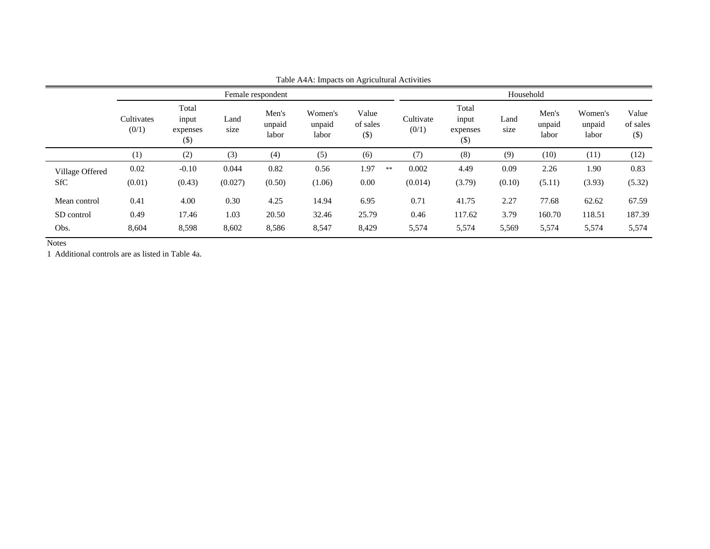|                 |                     |                                      |              |                          | $\cdots$ $\cdots$ $\cdots$ | $-2$                         |                    |                                     |              |                          |                            |                             |  |  |
|-----------------|---------------------|--------------------------------------|--------------|--------------------------|----------------------------|------------------------------|--------------------|-------------------------------------|--------------|--------------------------|----------------------------|-----------------------------|--|--|
|                 | Female respondent   |                                      |              |                          |                            |                              |                    | Household                           |              |                          |                            |                             |  |  |
|                 | Cultivates<br>(0/1) | Total<br>input<br>expenses<br>$(\$)$ | Land<br>size | Men's<br>unpaid<br>labor | Women's<br>unpaid<br>labor | Value<br>of sales<br>$($ \$) | Cultivate<br>(0/1) | Total<br>input<br>expenses<br>$($)$ | Land<br>size | Men's<br>unpaid<br>labor | Women's<br>unpaid<br>labor | Value<br>of sales<br>$(\$)$ |  |  |
|                 | (1)                 | (2)                                  | (3)          | (4)                      | (5)                        | (6)                          | (7)                | (8)                                 | (9)          | (10)                     | (11)                       | (12)                        |  |  |
| Village Offered | 0.02                | $-0.10$                              | 0.044        | 0.82                     | 0.56                       | 1.97<br>$\ast\ast$           | 0.002              | 4.49                                | 0.09         | 2.26                     | 1.90                       | 0.83                        |  |  |
| <b>SfC</b>      | (0.01)              | (0.43)                               | (0.027)      | (0.50)                   | (1.06)                     | 0.00                         | (0.014)            | (3.79)                              | (0.10)       | (5.11)                   | (3.93)                     | (5.32)                      |  |  |
| Mean control    | 0.41                | 4.00                                 | 0.30         | 4.25                     | 14.94                      | 6.95                         | 0.71               | 41.75                               | 2.27         | 77.68                    | 62.62                      | 67.59                       |  |  |
| SD control      | 0.49                | 17.46                                | 1.03         | 20.50                    | 32.46                      | 25.79                        | 0.46               | 117.62                              | 3.79         | 160.70                   | 118.51                     | 187.39                      |  |  |
| Obs.            | 8,604               | 8,598                                | 8,602        | 8,586                    | 8,547                      | 8,429                        | 5,574              | 5,574                               | 5,569        | 5,574                    | 5,574                      | 5,574                       |  |  |
|                 |                     |                                      |              |                          |                            |                              |                    |                                     |              |                          |                            |                             |  |  |

Table A4A: Impacts on Agricultural Activities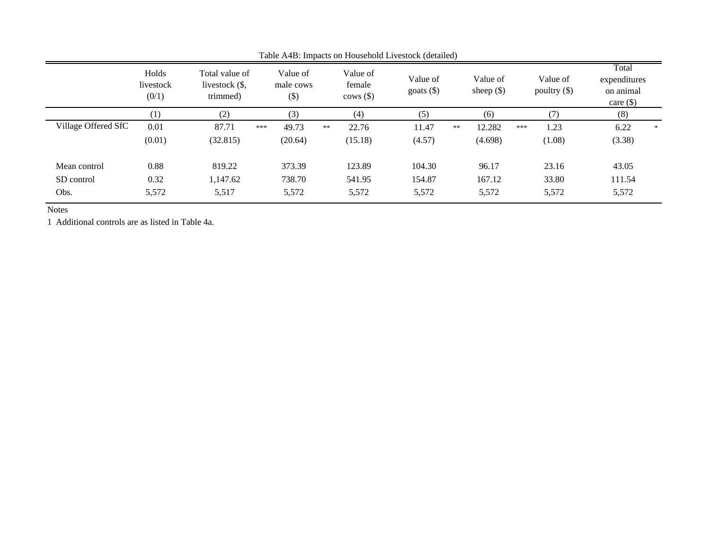|                     | Holds<br>Total value of<br>livestock<br>livestock (\$,<br>(0/1)<br>trimmed) |          | Value of<br>male cows<br>$($ \$ | Value of<br>female<br>$\cos(\$\)$ | Value of<br>goats $(\$)$ | Value of<br>sheep $(\$)$ | Value of<br>poultry $(\$)$ | Total<br>expenditures<br>on animal<br>care $(\$)$ |
|---------------------|-----------------------------------------------------------------------------|----------|---------------------------------|-----------------------------------|--------------------------|--------------------------|----------------------------|---------------------------------------------------|
|                     | $\left(1\right)$                                                            | (2)      | (3)                             | (4)                               | (5)                      | (6)                      | (7)                        | (8)                                               |
| Village Offered SfC | 0.01                                                                        | 87.71    | 49.73<br>***                    | 22.76<br>**                       | 11.47                    | 12.282<br>$\ast\ast$     | 1.23<br>***                | 6.22<br>*                                         |
|                     | (0.01)                                                                      | (32.815) | (20.64)                         | (15.18)                           | (4.57)                   | (4.698)                  | (1.08)                     | (3.38)                                            |
| Mean control        | 0.88                                                                        | 819.22   | 373.39                          | 123.89                            | 104.30                   | 96.17                    | 23.16                      | 43.05                                             |
| SD control          | 0.32                                                                        | 1,147.62 | 738.70                          | 541.95                            | 154.87                   | 167.12                   | 33.80                      | 111.54                                            |
| Obs.                | 5,572                                                                       | 5,517    | 5,572                           | 5,572                             | 5,572                    | 5,572                    | 5,572                      | 5,572                                             |

Table A4B: Impacts on Household Livestock (detailed)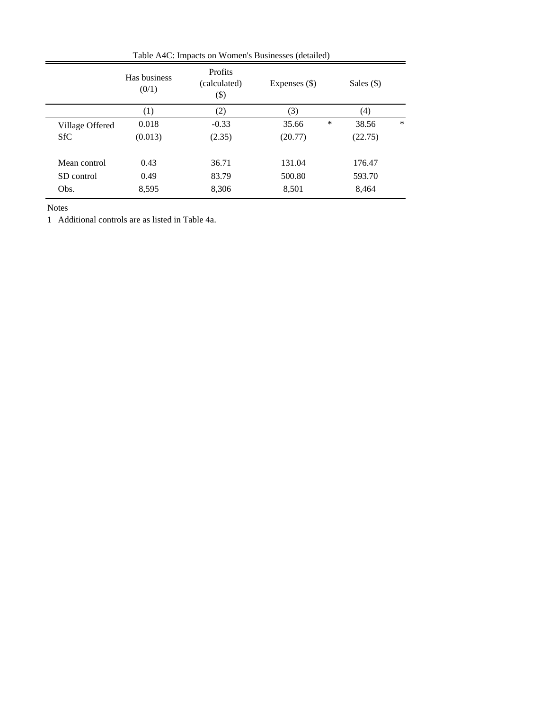|                 | Has business<br>(0/1) | <b>Profits</b><br>(calculated)<br>$(\$)$ | Expenses $(\$)$ |   | Sales $(\$)$ |        |  |  |  |  |  |
|-----------------|-----------------------|------------------------------------------|-----------------|---|--------------|--------|--|--|--|--|--|
|                 | (1)                   | (2)                                      | (3)             |   | (4)          |        |  |  |  |  |  |
| Village Offered | 0.018                 | $-0.33$                                  | 35.66           | ∗ | 38.56        | $\ast$ |  |  |  |  |  |
| <b>SfC</b>      | (0.013)               | (2.35)                                   | (20.77)         |   | (22.75)      |        |  |  |  |  |  |
|                 |                       |                                          |                 |   |              |        |  |  |  |  |  |
| Mean control    | 0.43                  | 36.71                                    | 131.04          |   | 176.47       |        |  |  |  |  |  |
| SD control      | 0.49                  | 83.79                                    | 500.80          |   | 593.70       |        |  |  |  |  |  |
| Obs.            | 8,595                 | 8,306                                    | 8,501           |   | 8,464        |        |  |  |  |  |  |
|                 |                       |                                          |                 |   |              |        |  |  |  |  |  |

Table A4C: Impacts on Women's Businesses (detailed)